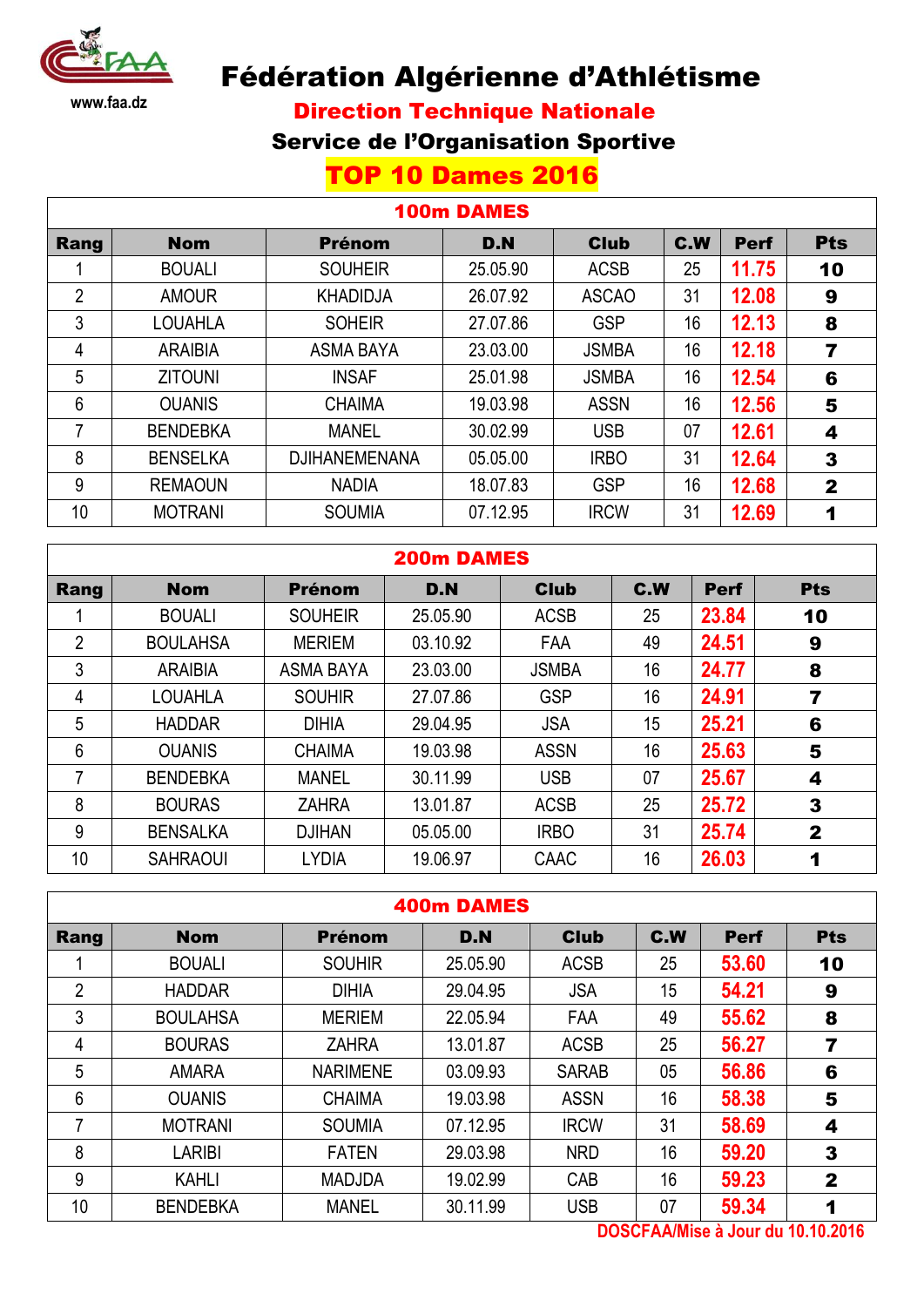

# Fédération Algérienne d'Athlétisme

Direction Technique Nationale

## Service de l'Organisation Sportive

# TOP 10 Dames 2016

### 100m DAMES

| Rang           | <b>Nom</b>      | <b>Prénom</b>        | D.N      | <b>Club</b>  | C.W | <b>Perf</b> | <b>Pts</b>   |
|----------------|-----------------|----------------------|----------|--------------|-----|-------------|--------------|
|                | <b>BOUALI</b>   | <b>SOUHEIR</b>       | 25.05.90 | <b>ACSB</b>  | 25  | 11.75       | 10           |
| $\overline{2}$ | <b>AMOUR</b>    | <b>KHADIDJA</b>      | 26.07.92 | <b>ASCAO</b> | 31  | 12.08       | 9            |
| 3              | LOUAHLA         | <b>SOHEIR</b>        | 27.07.86 | <b>GSP</b>   | 16  | 12.13       | 8            |
| 4              | <b>ARAIBIA</b>  | <b>ASMA BAYA</b>     | 23.03.00 | <b>JSMBA</b> | 16  | 12.18       | 7            |
| 5              | <b>ZITOUNI</b>  | <b>INSAF</b>         | 25.01.98 | <b>JSMBA</b> | 16  | 12.54       | 6            |
| 6              | <b>OUANIS</b>   | <b>CHAIMA</b>        | 19.03.98 | <b>ASSN</b>  | 16  | 12.56       | 5            |
| 7              | <b>BENDEBKA</b> | <b>MANEL</b>         | 30.02.99 | <b>USB</b>   | 07  | 12.61       | 4            |
| 8              | <b>BENSELKA</b> | <b>DJIHANEMENANA</b> | 05.05.00 | <b>IRBO</b>  | 31  | 12.64       | 3            |
| 9              | <b>REMAOUN</b>  | <b>NADIA</b>         | 18.07.83 | <b>GSP</b>   | 16  | 12.68       | $\mathbf{2}$ |
| 10             | <b>MOTRANI</b>  | <b>SOUMIA</b>        | 07.12.95 | <b>IRCW</b>  | 31  | 12.69       | 1            |

### 200m DAMES

| Rang           | <b>Nom</b>      | <b>Prénom</b>    | D.N      | <b>Club</b>  | C.W | <b>Perf</b> | <b>Pts</b>   |
|----------------|-----------------|------------------|----------|--------------|-----|-------------|--------------|
|                | <b>BOUALI</b>   | <b>SOUHEIR</b>   | 25.05.90 | <b>ACSB</b>  | 25  | 23.84       | 10           |
| $\overline{2}$ | <b>BOULAHSA</b> | <b>MERIEM</b>    | 03.10.92 | <b>FAA</b>   | 49  | 24.51       | 9            |
| 3              | <b>ARAIBIA</b>  | <b>ASMA BAYA</b> | 23.03.00 | <b>JSMBA</b> | 16  | 24.77       | 8            |
| 4              | LOUAHLA         | <b>SOUHIR</b>    | 27.07.86 | <b>GSP</b>   | 16  | 24.91       | 7            |
| 5              | <b>HADDAR</b>   | <b>DIHIA</b>     | 29.04.95 | <b>JSA</b>   | 15  | 25.21       | 6            |
| $6\phantom{1}$ | <b>OUANIS</b>   | <b>CHAIMA</b>    | 19.03.98 | <b>ASSN</b>  | 16  | 25.63       | 5            |
|                | <b>BENDEBKA</b> | <b>MANEL</b>     | 30.11.99 | <b>USB</b>   | 07  | 25.67       | 4            |
| 8              | <b>BOURAS</b>   | <b>ZAHRA</b>     | 13.01.87 | <b>ACSB</b>  | 25  | 25.72       | 3            |
| 9              | <b>BENSALKA</b> | <b>DJIHAN</b>    | 05.05.00 | <b>IRBO</b>  | 31  | 25.74       | $\mathbf{2}$ |
| 10             | <b>SAHRAOUI</b> | <b>LYDIA</b>     | 19.06.97 | CAAC         | 16  | 26.03       |              |

|                | <b>400m DAMES</b> |                 |          |              |     |             |              |  |  |  |  |
|----------------|-------------------|-----------------|----------|--------------|-----|-------------|--------------|--|--|--|--|
| Rang           | <b>Nom</b>        | <b>Prénom</b>   | D.N      | <b>Club</b>  | C.W | <b>Perf</b> | <b>Pts</b>   |  |  |  |  |
|                | <b>BOUALI</b>     | <b>SOUHIR</b>   | 25.05.90 | <b>ACSB</b>  | 25  | 53.60       | 10           |  |  |  |  |
| $\overline{2}$ | <b>HADDAR</b>     | <b>DIHIA</b>    | 29.04.95 | <b>JSA</b>   | 15  | 54.21       | 9            |  |  |  |  |
| 3              | <b>BOULAHSA</b>   | <b>MERIEM</b>   | 22.05.94 | FAA          | 49  | 55.62       | 8            |  |  |  |  |
| 4              | <b>BOURAS</b>     | <b>ZAHRA</b>    | 13.01.87 | <b>ACSB</b>  | 25  | 56.27       | 7            |  |  |  |  |
| 5              | <b>AMARA</b>      | <b>NARIMENE</b> | 03.09.93 | <b>SARAB</b> | 05  | 56.86       | 6            |  |  |  |  |
| 6              | <b>OUANIS</b>     | <b>CHAIMA</b>   | 19.03.98 | <b>ASSN</b>  | 16  | 58.38       | 5            |  |  |  |  |
| 7              | <b>MOTRANI</b>    | <b>SOUMIA</b>   | 07.12.95 | <b>IRCW</b>  | 31  | 58.69       | 4            |  |  |  |  |
| 8              | <b>LARIBI</b>     | <b>FATEN</b>    | 29.03.98 | <b>NRD</b>   | 16  | 59.20       | 3            |  |  |  |  |
| 9              | <b>KAHLI</b>      | <b>MADJDA</b>   | 19.02.99 | CAB          | 16  | 59.23       | $\mathbf{2}$ |  |  |  |  |
| 10             | <b>BENDEBKA</b>   | <b>MANEL</b>    | 30.11.99 | <b>USB</b>   | 07  | 59.34       | 1            |  |  |  |  |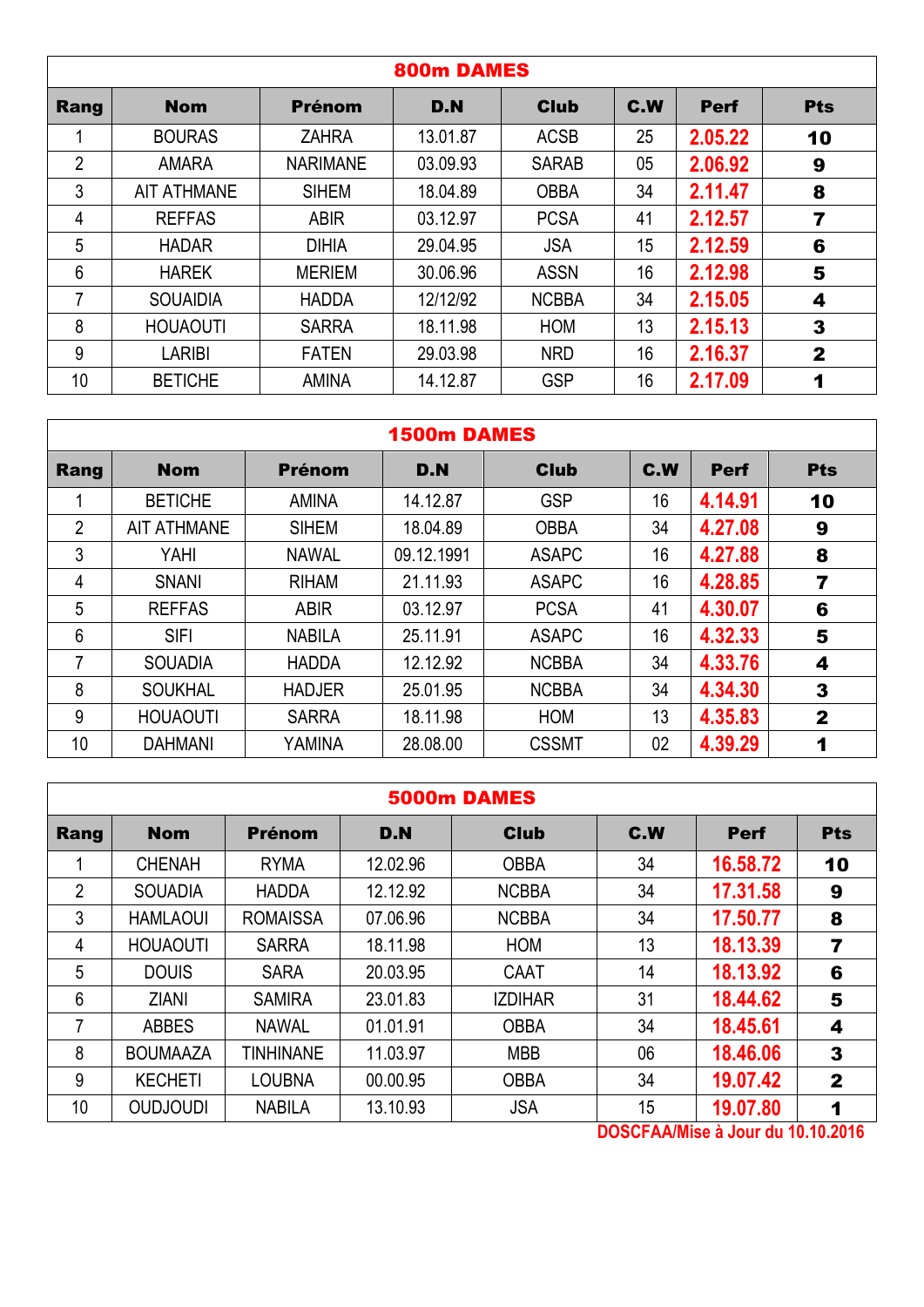|                |                    |                 | 800m DAMES |              |     |             |              |
|----------------|--------------------|-----------------|------------|--------------|-----|-------------|--------------|
| Rang           | <b>Nom</b>         | Prénom          | D.N        | <b>Club</b>  | C.W | <b>Perf</b> | <b>Pts</b>   |
|                | <b>BOURAS</b>      | <b>ZAHRA</b>    | 13.01.87   | <b>ACSB</b>  | 25  | 2.05.22     | 10           |
| $\overline{2}$ | <b>AMARA</b>       | <b>NARIMANE</b> | 03.09.93   | <b>SARAB</b> | 05  | 2.06.92     | 9            |
| 3              | <b>AIT ATHMANE</b> | <b>SIHEM</b>    | 18.04.89   | <b>OBBA</b>  | 34  | 2.11.47     | 8            |
| 4              | <b>REFFAS</b>      | <b>ABIR</b>     | 03.12.97   | <b>PCSA</b>  | 41  | 2.12.57     | 7            |
| 5              | <b>HADAR</b>       | <b>DIHIA</b>    | 29.04.95   | <b>JSA</b>   | 15  | 2.12.59     | 6            |
| 6              | <b>HAREK</b>       | <b>MERIEM</b>   | 30.06.96   | <b>ASSN</b>  | 16  | 2.12.98     | 5            |
| 7              | <b>SOUAIDIA</b>    | <b>HADDA</b>    | 12/12/92   | <b>NCBBA</b> | 34  | 2.15.05     | 4            |
| 8              | <b>HOUAOUTI</b>    | <b>SARRA</b>    | 18.11.98   | <b>HOM</b>   | 13  | 2.15.13     | 3            |
| 9              | <b>LARIBI</b>      | <b>FATEN</b>    | 29.03.98   | <b>NRD</b>   | 16  | 2.16.37     | $\mathbf{2}$ |
| 10             | <b>BETICHE</b>     | <b>AMINA</b>    | 14.12.87   | <b>GSP</b>   | 16  | 2.17.09     | 1            |

|                | <b>1500m DAMES</b> |               |            |              |     |             |                |  |  |  |  |
|----------------|--------------------|---------------|------------|--------------|-----|-------------|----------------|--|--|--|--|
| Rang           | <b>Nom</b>         | <b>Prénom</b> | D.N        | <b>Club</b>  | C.W | <b>Perf</b> | <b>Pts</b>     |  |  |  |  |
|                | <b>BETICHE</b>     | <b>AMINA</b>  | 14.12.87   | <b>GSP</b>   | 16  | 4.14.91     | 10             |  |  |  |  |
| $\overline{2}$ | <b>AIT ATHMANE</b> | <b>SIHEM</b>  | 18.04.89   | <b>OBBA</b>  | 34  | 4.27.08     | 9              |  |  |  |  |
| 3              | YAHI               | <b>NAWAL</b>  | 09.12.1991 | <b>ASAPC</b> | 16  | 4.27.88     | 8              |  |  |  |  |
| 4              | <b>SNANI</b>       | <b>RIHAM</b>  | 21.11.93   | <b>ASAPC</b> | 16  | 4.28.85     | $\overline{7}$ |  |  |  |  |
| 5              | <b>REFFAS</b>      | <b>ABIR</b>   | 03.12.97   | <b>PCSA</b>  | 41  | 4.30.07     | 6              |  |  |  |  |
| 6              | <b>SIFI</b>        | <b>NABILA</b> | 25.11.91   | <b>ASAPC</b> | 16  | 4.32.33     | 5              |  |  |  |  |
| 7              | <b>SOUADIA</b>     | <b>HADDA</b>  | 12.12.92   | <b>NCBBA</b> | 34  | 4.33.76     | 4              |  |  |  |  |
| 8              | <b>SOUKHAL</b>     | <b>HADJER</b> | 25.01.95   | <b>NCBBA</b> | 34  | 4.34.30     | 3              |  |  |  |  |
| 9              | <b>HOUAOUTI</b>    | <b>SARRA</b>  | 18.11.98   | <b>HOM</b>   | 13  | 4.35.83     | $\overline{2}$ |  |  |  |  |
| 10             | <b>DAHMANI</b>     | YAMINA        | 28.08.00   | <b>CSSMT</b> | 02  | 4.39.29     | 1              |  |  |  |  |

|                |                 |                  |          | 5000m DAMES    |     |             |                         |
|----------------|-----------------|------------------|----------|----------------|-----|-------------|-------------------------|
| Rang           | <b>Nom</b>      | Prénom           | D.N      | <b>Club</b>    | C.W | <b>Perf</b> | <b>Pts</b>              |
|                | <b>CHENAH</b>   | <b>RYMA</b>      | 12.02.96 | <b>OBBA</b>    | 34  | 16.58.72    | 10                      |
| $\overline{2}$ | <b>SOUADIA</b>  | <b>HADDA</b>     | 12.12.92 | <b>NCBBA</b>   | 34  | 17.31.58    | 9                       |
| 3              | <b>HAMLAOUI</b> | <b>ROMAISSA</b>  | 07.06.96 | <b>NCBBA</b>   | 34  | 17.50.77    | 8                       |
| 4              | <b>HOUAOUTI</b> | <b>SARRA</b>     | 18.11.98 | <b>HOM</b>     | 13  | 18.13.39    | $\overline{\mathbf{z}}$ |
| 5              | <b>DOUIS</b>    | <b>SARA</b>      | 20.03.95 | CAAT           | 14  | 18.13.92    | 6                       |
| 6              | <b>ZIANI</b>    | <b>SAMIRA</b>    | 23.01.83 | <b>IZDIHAR</b> | 31  | 18.44.62    | 5                       |
| 7              | <b>ABBES</b>    | <b>NAWAL</b>     | 01.01.91 | <b>OBBA</b>    | 34  | 18.45.61    | 4                       |
| 8              | <b>BOUMAAZA</b> | <b>TINHINANE</b> | 11.03.97 | <b>MBB</b>     | 06  | 18.46.06    | 3                       |
| 9              | <b>KECHETI</b>  | <b>LOUBNA</b>    | 00.00.95 | <b>OBBA</b>    | 34  | 19.07.42    | $\mathbf{2}$            |
| 10             | <b>OUDJOUDI</b> | <b>NABILA</b>    | 13.10.93 | <b>JSA</b>     | 15  | 19.07.80    | 1                       |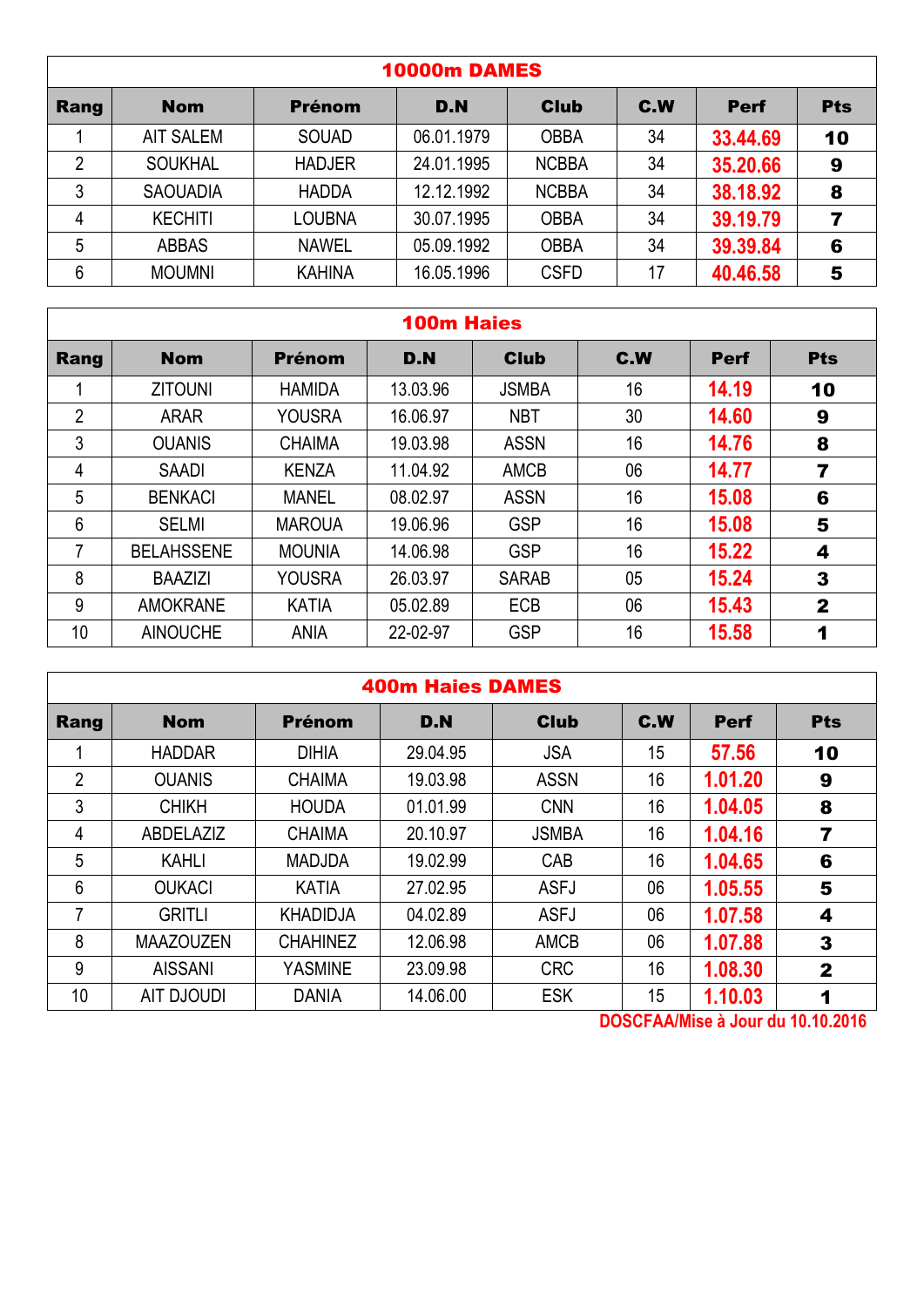| <b>10000m DAMES</b> |                  |               |            |              |     |             |            |  |  |  |
|---------------------|------------------|---------------|------------|--------------|-----|-------------|------------|--|--|--|
| Rang                | <b>Nom</b>       | <b>Prénom</b> | D.N        | <b>Club</b>  | C.W | <b>Perf</b> | <b>Pts</b> |  |  |  |
|                     | <b>AIT SALEM</b> | <b>SOUAD</b>  | 06.01.1979 | <b>OBBA</b>  | 34  | 33.44.69    | 10         |  |  |  |
| 2                   | <b>SOUKHAL</b>   | <b>HADJER</b> | 24.01.1995 | <b>NCBBA</b> | 34  | 35,20.66    | 9          |  |  |  |
| 3                   | <b>SAOUADIA</b>  | <b>HADDA</b>  | 12.12.1992 | <b>NCBBA</b> | 34  | 38.18.92    | 8          |  |  |  |
| 4                   | <b>KECHITI</b>   | LOUBNA        | 30.07.1995 | <b>OBBA</b>  | 34  | 39.19.79    |            |  |  |  |
| 5                   | <b>ABBAS</b>     | <b>NAWEL</b>  | 05.09.1992 | <b>OBBA</b>  | 34  | 39.39.84    | 6          |  |  |  |
| 6                   | <b>MOUMNI</b>    | <b>KAHINA</b> | 16.05.1996 | <b>CSFD</b>  | 17  | 40.46.58    | 5          |  |  |  |

### 100m Haies

| Rang           | <b>Nom</b>        | <b>Prénom</b> | D.N      | <b>Club</b>  | C.W | <b>Perf</b> | <b>Pts</b>   |
|----------------|-------------------|---------------|----------|--------------|-----|-------------|--------------|
|                | <b>ZITOUNI</b>    | <b>HAMIDA</b> | 13.03.96 | <b>JSMBA</b> | 16  | 14.19       | 10           |
| $\overline{2}$ | <b>ARAR</b>       | <b>YOUSRA</b> | 16.06.97 | <b>NBT</b>   | 30  | 14.60       | 9            |
| 3              | <b>OUANIS</b>     | <b>CHAIMA</b> | 19.03.98 | <b>ASSN</b>  | 16  | 14.76       | 8            |
| 4              | <b>SAADI</b>      | <b>KENZA</b>  | 11.04.92 | <b>AMCB</b>  | 06  | 14.77       | 7            |
| 5              | <b>BENKACI</b>    | <b>MANEL</b>  | 08.02.97 | <b>ASSN</b>  | 16  | 15.08       | 6            |
| 6              | <b>SELMI</b>      | <b>MAROUA</b> | 19.06.96 | <b>GSP</b>   | 16  | 15.08       | 5            |
|                | <b>BELAHSSENE</b> | <b>MOUNIA</b> | 14.06.98 | <b>GSP</b>   | 16  | 15.22       | 4            |
| 8              | <b>BAAZIZI</b>    | <b>YOUSRA</b> | 26.03.97 | <b>SARAB</b> | 05  | 15.24       | 3            |
| 9              | <b>AMOKRANE</b>   | <b>KATIA</b>  | 05.02.89 | <b>ECB</b>   | 06  | 15.43       | $\mathbf{2}$ |
| 10             | <b>AINOUCHE</b>   | <b>ANIA</b>   | 22-02-97 | <b>GSP</b>   | 16  | 15.58       | 1            |

|  | <b>400m Haies DAMES</b> |  |
|--|-------------------------|--|
|--|-------------------------|--|

| C.W<br><b>Nom</b><br><b>Prénom</b><br>D.N<br><b>Club</b><br><b>Pts</b><br>Rang<br><b>Perf</b><br>57.56<br>29.04.95<br><b>JSA</b><br>15<br><b>HADDAR</b><br><b>DIHIA</b><br>10<br>$\overline{2}$<br>16<br>1.01.20<br>19.03.98<br><b>ASSN</b><br><b>OUANIS</b><br><b>CHAIMA</b><br>9<br>3<br>1.04.05<br>16<br><b>CHIKH</b><br>01.01.99<br><b>HOUDA</b><br><b>CNN</b><br>8<br>20.10.97<br>16<br><b>CHAIMA</b><br>1.04.16<br>ABDELAZIZ<br><b>JSMBA</b><br>4<br>7<br>1.04.65<br>5<br>16<br>19.02.99<br><b>KAHLI</b><br><b>MADJDA</b><br><b>CAB</b><br>6<br>1.05.55<br>6<br>06<br>27.02.95<br><b>ASFJ</b><br><b>OUKACI</b><br><b>KATIA</b><br>5<br>7<br>06<br>1.07.58<br>04.02.89<br><b>GRITLI</b><br><b>KHADIDJA</b><br><b>ASFJ</b><br>4<br>1.07.88<br>8<br>12.06.98<br>06<br><b>MAAZOUZEN</b><br><b>CHAHINEZ</b><br><b>AMCB</b><br>3<br>9<br>16<br>1.08.30<br><b>AISSANI</b><br><b>YASMINE</b><br>23.09.98<br><b>CRC</b><br>2<br>10<br>15<br>1.10.03<br><b>AIT DJOUDI</b><br>14.06.00<br><b>ESK</b><br><b>DANIA</b><br>1 |  |  |  |  |
|----------------------------------------------------------------------------------------------------------------------------------------------------------------------------------------------------------------------------------------------------------------------------------------------------------------------------------------------------------------------------------------------------------------------------------------------------------------------------------------------------------------------------------------------------------------------------------------------------------------------------------------------------------------------------------------------------------------------------------------------------------------------------------------------------------------------------------------------------------------------------------------------------------------------------------------------------------------------------------------------------------------------|--|--|--|--|
|                                                                                                                                                                                                                                                                                                                                                                                                                                                                                                                                                                                                                                                                                                                                                                                                                                                                                                                                                                                                                      |  |  |  |  |
|                                                                                                                                                                                                                                                                                                                                                                                                                                                                                                                                                                                                                                                                                                                                                                                                                                                                                                                                                                                                                      |  |  |  |  |
|                                                                                                                                                                                                                                                                                                                                                                                                                                                                                                                                                                                                                                                                                                                                                                                                                                                                                                                                                                                                                      |  |  |  |  |
|                                                                                                                                                                                                                                                                                                                                                                                                                                                                                                                                                                                                                                                                                                                                                                                                                                                                                                                                                                                                                      |  |  |  |  |
|                                                                                                                                                                                                                                                                                                                                                                                                                                                                                                                                                                                                                                                                                                                                                                                                                                                                                                                                                                                                                      |  |  |  |  |
|                                                                                                                                                                                                                                                                                                                                                                                                                                                                                                                                                                                                                                                                                                                                                                                                                                                                                                                                                                                                                      |  |  |  |  |
|                                                                                                                                                                                                                                                                                                                                                                                                                                                                                                                                                                                                                                                                                                                                                                                                                                                                                                                                                                                                                      |  |  |  |  |
|                                                                                                                                                                                                                                                                                                                                                                                                                                                                                                                                                                                                                                                                                                                                                                                                                                                                                                                                                                                                                      |  |  |  |  |
|                                                                                                                                                                                                                                                                                                                                                                                                                                                                                                                                                                                                                                                                                                                                                                                                                                                                                                                                                                                                                      |  |  |  |  |
|                                                                                                                                                                                                                                                                                                                                                                                                                                                                                                                                                                                                                                                                                                                                                                                                                                                                                                                                                                                                                      |  |  |  |  |
| ---------                                                                                                                                                                                                                                                                                                                                                                                                                                                                                                                                                                                                                                                                                                                                                                                                                                                                                                                                                                                                            |  |  |  |  |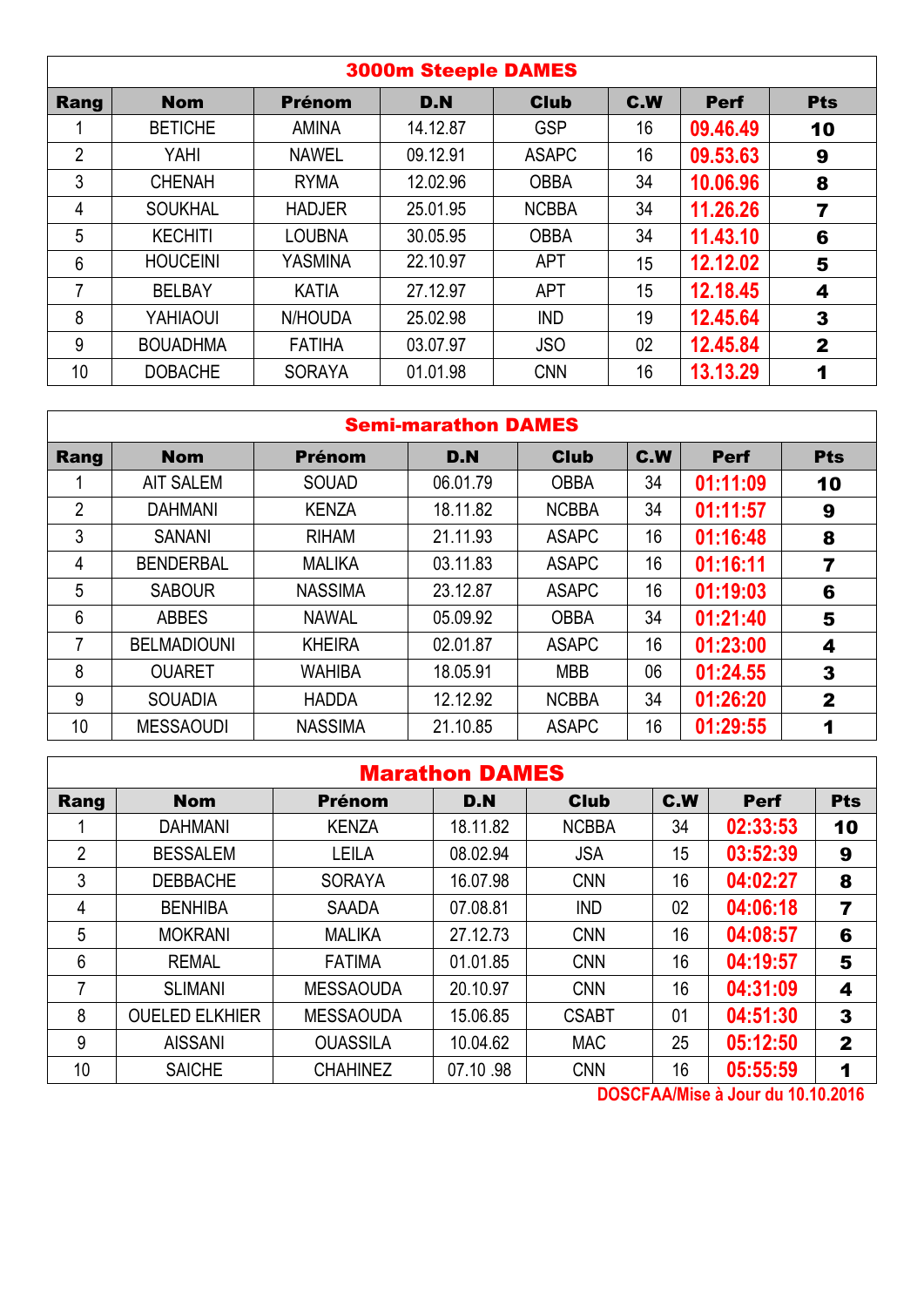|                |                 |               | <b>3000m Steeple DAMES</b> |              |                 |             |                         |
|----------------|-----------------|---------------|----------------------------|--------------|-----------------|-------------|-------------------------|
| Rang           | <b>Nom</b>      | <b>Prénom</b> | D.N                        | <b>Club</b>  | <b>C.W</b>      | <b>Perf</b> | <b>Pts</b>              |
|                | <b>BETICHE</b>  | <b>AMINA</b>  | 14.12.87                   | <b>GSP</b>   | 16              | 09.46.49    | 10                      |
| $\overline{2}$ | YAHI            | <b>NAWEL</b>  | 09.12.91                   | <b>ASAPC</b> | 16              | 09.53.63    | 9                       |
| 3              | <b>CHENAH</b>   | <b>RYMA</b>   | 12.02.96                   | <b>OBBA</b>  | 34              | 10.06.96    | 8                       |
| 4              | <b>SOUKHAL</b>  | <b>HADJER</b> | 25.01.95                   | <b>NCBBA</b> | 34              | 11.26.26    | 7                       |
| 5              | <b>KECHITI</b>  | <b>LOUBNA</b> | 30.05.95                   | <b>OBBA</b>  | 34              | 11.43.10    | 6                       |
| $6\phantom{1}$ | <b>HOUCEINI</b> | YASMINA       | 22.10.97                   | <b>APT</b>   | 15              | 12.12.02    | 5                       |
| 7              | <b>BELBAY</b>   | <b>KATIA</b>  | 27.12.97                   | <b>APT</b>   | 15              | 12.18.45    | 4                       |
| 8              | YAHIAOUI        | N/HOUDA       | 25.02.98                   | <b>IND</b>   | 19              | 12.45.64    | 3                       |
| 9              | <b>BOUADHMA</b> | <b>FATIHA</b> | 03.07.97                   | <b>JSO</b>   | 02 <sub>2</sub> | 12.45.84    | $\overline{\mathbf{2}}$ |
| 10             | <b>DOBACHE</b>  | <b>SORAYA</b> | 01.01.98                   | <b>CNN</b>   | 16              | 13.13.29    | 1                       |

#### Semi-marathon DAMES

| Rang            | <b>Nom</b>         | <b>Prénom</b>  | D.N      | <b>Club</b>  | C.W | <b>Perf</b> | <b>Pts</b>   |
|-----------------|--------------------|----------------|----------|--------------|-----|-------------|--------------|
|                 | <b>AIT SALEM</b>   | <b>SOUAD</b>   | 06.01.79 | <b>OBBA</b>  | 34  | 01:11:09    | 10           |
| $\overline{2}$  | <b>DAHMANI</b>     | <b>KENZA</b>   | 18.11.82 | <b>NCBBA</b> | 34  | 01:11:57    | 9            |
| 3               | <b>SANANI</b>      | <b>RIHAM</b>   | 21.11.93 | <b>ASAPC</b> | 16  | 01:16:48    | 8            |
| 4               | <b>BENDERBAL</b>   | <b>MALIKA</b>  | 03.11.83 | <b>ASAPC</b> | 16  | 01:16:11    | 7            |
| 5               | <b>SABOUR</b>      | <b>NASSIMA</b> | 23.12.87 | <b>ASAPC</b> | 16  | 01:19:03    | 6            |
| $6\phantom{1}6$ | <b>ABBES</b>       | <b>NAWAL</b>   | 05.09.92 | <b>OBBA</b>  | 34  | 01:21:40    | 5            |
|                 | <b>BELMADIOUNI</b> | <b>KHEIRA</b>  | 02.01.87 | <b>ASAPC</b> | 16  | 01:23:00    | 4            |
| 8               | <b>OUARET</b>      | WAHIBA         | 18.05.91 | <b>MBB</b>   | 06  | 01:24.55    | 3            |
| 9               | <b>SOUADIA</b>     | <b>HADDA</b>   | 12.12.92 | <b>NCBBA</b> | 34  | 01:26:20    | $\mathbf{2}$ |
| 10              | <b>MESSAOUDI</b>   | <b>NASSIMA</b> | 21.10.85 | <b>ASAPC</b> | 16  | 01:29:55    | 1            |

|                |                       |                  | <b>Marathon DAMES</b> |                                  |     |             |              |
|----------------|-----------------------|------------------|-----------------------|----------------------------------|-----|-------------|--------------|
| Rang           | <b>Nom</b>            | <b>Prénom</b>    | D.N                   | <b>Club</b>                      | C.W | <b>Perf</b> | <b>Pts</b>   |
|                | <b>DAHMANI</b>        | <b>KENZA</b>     | 18.11.82              | <b>NCBBA</b>                     | 34  | 02:33:53    | 10           |
| $\overline{2}$ | <b>BESSALEM</b>       | <b>LEILA</b>     | 08.02.94              | <b>JSA</b>                       | 15  | 03:52:39    | 9            |
| 3              | <b>DEBBACHE</b>       | <b>SORAYA</b>    | 16.07.98              | <b>CNN</b>                       | 16  | 04:02:27    | 8            |
| 4              | <b>BENHIBA</b>        | <b>SAADA</b>     | 07.08.81              | <b>IND</b>                       | 02  | 04:06:18    | 7            |
| 5              | <b>MOKRANI</b>        | <b>MALIKA</b>    | 27.12.73              | <b>CNN</b>                       | 16  | 04:08:57    | 6            |
| 6              | <b>REMAL</b>          | <b>FATIMA</b>    | 01.01.85              | <b>CNN</b>                       | 16  | 04:19:57    | 5            |
| 7              | <b>SLIMANI</b>        | <b>MESSAOUDA</b> | 20.10.97              | <b>CNN</b>                       | 16  | 04:31:09    | 4            |
| 8              | <b>OUELED ELKHIER</b> | <b>MESSAOUDA</b> | 15.06.85              | <b>CSABT</b>                     | 01  | 04:51:30    | $\mathbf{3}$ |
| 9              | <b>AISSANI</b>        | <b>OUASSILA</b>  | 10.04.62              | <b>MAC</b>                       | 25  | 05:12:50    | $\mathbf{2}$ |
| 10             | <b>SAICHE</b>         | <b>CHAHINEZ</b>  | 07.10.98              | <b>CNN</b><br><b>BAAAFII</b> III | 16  | 05:55:59    | 1            |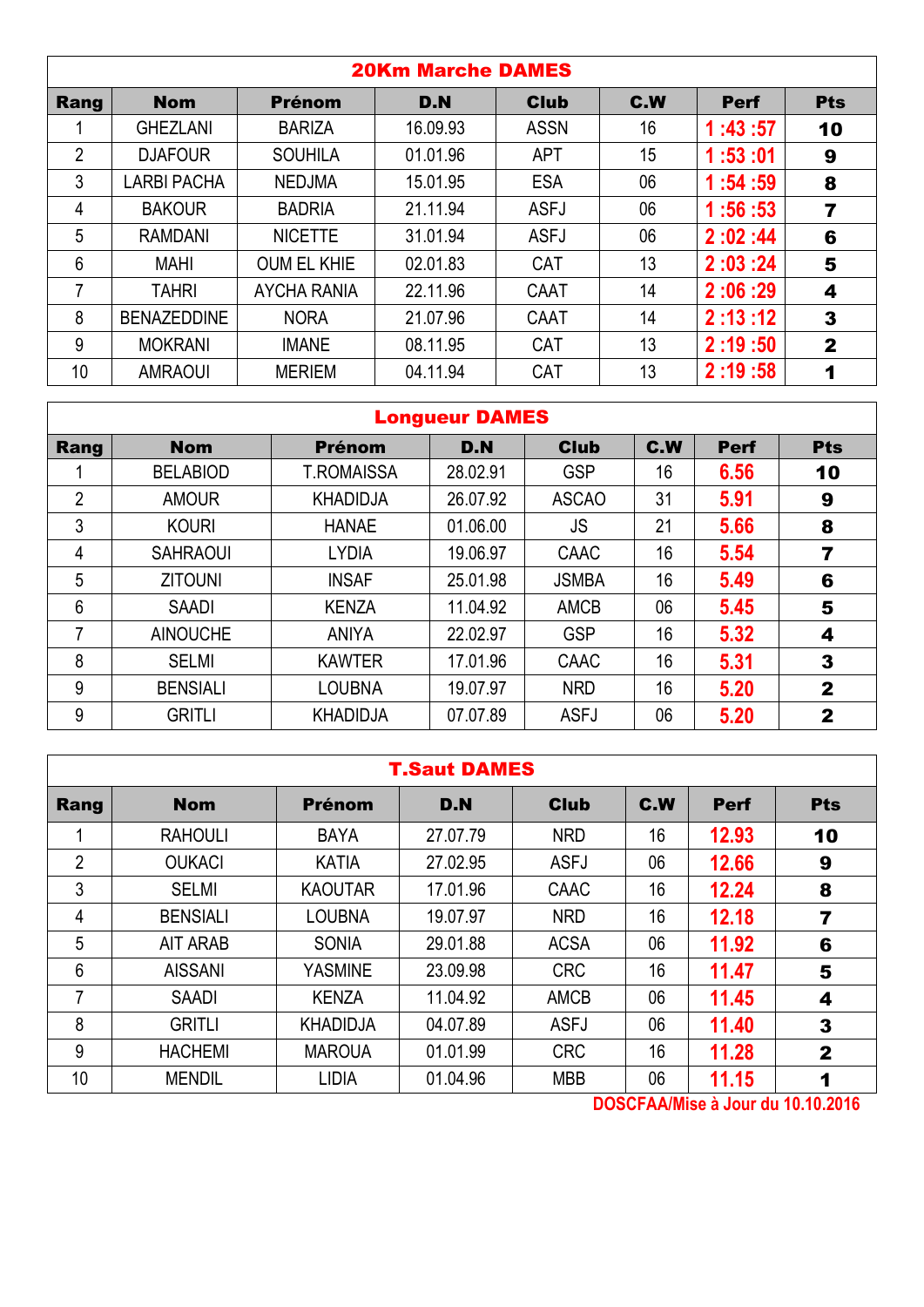|                |                    |                    | <b>20Km Marche DAMES</b> |             |     |             |                |
|----------------|--------------------|--------------------|--------------------------|-------------|-----|-------------|----------------|
| Rang           | <b>Nom</b>         | <b>Prénom</b>      | D.N                      | <b>Club</b> | C.W | <b>Perf</b> | <b>Pts</b>     |
|                | <b>GHEZLANI</b>    | <b>BARIZA</b>      | 16.09.93                 | <b>ASSN</b> | 16  | 1:43:57     | 10             |
| $\overline{2}$ | <b>DJAFOUR</b>     | <b>SOUHILA</b>     | 01.01.96                 | <b>APT</b>  | 15  | 1:53:01     | 9              |
| 3              | <b>LARBI PACHA</b> | <b>NEDJMA</b>      | 15.01.95                 | <b>ESA</b>  | 06  | 1:54:59     | 8              |
| 4              | <b>BAKOUR</b>      | <b>BADRIA</b>      | 21.11.94                 | <b>ASFJ</b> | 06  | 1:56:53     | $\overline{7}$ |
| 5              | <b>RAMDANI</b>     | <b>NICETTE</b>     | 31.01.94                 | <b>ASFJ</b> | 06  | 2:02:44     | 6              |
| 6              | <b>MAHI</b>        | <b>OUM EL KHIE</b> | 02.01.83                 | <b>CAT</b>  | 13  | 2:03:24     | 5              |
| 7              | <b>TAHRI</b>       | <b>AYCHA RANIA</b> | 22.11.96                 | CAAT        | 14  | 2:06:29     | 4              |
| 8              | <b>BENAZEDDINE</b> | <b>NORA</b>        | 21.07.96                 | CAAT        | 14  | 2:13:12     | 3              |
| 9              | <b>MOKRANI</b>     | <b>IMANE</b>       | 08.11.95                 | <b>CAT</b>  | 13  | 2:19:50     | $\mathbf{2}$   |
| 10             | <b>AMRAOUI</b>     | <b>MERIEM</b>      | 04.11.94                 | CAT         | 13  | 2:19:58     | 1              |
|                |                    |                    |                          |             |     |             |                |

# Longueur DAMES

| Rang           | <b>Nom</b>      | <b>Prénom</b>     | D.N      | <b>Club</b>  | C.W | <b>Perf</b> | <b>Pts</b>   |
|----------------|-----------------|-------------------|----------|--------------|-----|-------------|--------------|
|                | <b>BELABIOD</b> | <b>T.ROMAISSA</b> | 28.02.91 | <b>GSP</b>   | 16  | 6.56        | 10           |
| $\overline{2}$ | <b>AMOUR</b>    | <b>KHADIDJA</b>   | 26.07.92 | <b>ASCAO</b> | 31  | 5.91        | 9            |
| 3              | <b>KOURI</b>    | <b>HANAE</b>      | 01.06.00 | <b>JS</b>    | 21  | 5.66        | 8            |
| 4              | <b>SAHRAOUI</b> | LYDIA             | 19.06.97 | CAAC         | 16  | 5.54        | 7            |
| 5              | <b>ZITOUNI</b>  | <b>INSAF</b>      | 25.01.98 | <b>JSMBA</b> | 16  | 5.49        | 6            |
| 6              | <b>SAADI</b>    | <b>KENZA</b>      | 11.04.92 | <b>AMCB</b>  | 06  | 5.45        | 5            |
| 7              | <b>AINOUCHE</b> | <b>ANIYA</b>      | 22.02.97 | <b>GSP</b>   | 16  | 5.32        | 4            |
| 8              | <b>SELMI</b>    | <b>KAWTER</b>     | 17.01.96 | CAAC         | 16  | 5.31        | 3            |
| 9              | <b>BENSIALI</b> | <b>LOUBNA</b>     | 19.07.97 | <b>NRD</b>   | 16  | 5.20        | $\mathbf{2}$ |
| 9              | <b>GRITLI</b>   | <b>KHADIDJA</b>   | 07.07.89 | <b>ASFJ</b>  | 06  | 5.20        | $\mathbf 2$  |

|                | <b>T.Saut DAMES</b> |                 |          |             |     |       |              |  |  |  |  |
|----------------|---------------------|-----------------|----------|-------------|-----|-------|--------------|--|--|--|--|
| Rang           | <b>Nom</b>          | <b>Prénom</b>   | D.N      | <b>Club</b> | C.W | Perf  | <b>Pts</b>   |  |  |  |  |
|                | <b>RAHOULI</b>      | <b>BAYA</b>     | 27.07.79 | <b>NRD</b>  | 16  | 12.93 | 10           |  |  |  |  |
| $\overline{2}$ | <b>OUKACI</b>       | <b>KATIA</b>    | 27.02.95 | <b>ASFJ</b> | 06  | 12.66 | 9            |  |  |  |  |
| $\mathfrak{Z}$ | <b>SELMI</b>        | <b>KAOUTAR</b>  | 17.01.96 | CAAC        | 16  | 12.24 | 8            |  |  |  |  |
| 4              | <b>BENSIALI</b>     | <b>LOUBNA</b>   | 19.07.97 | <b>NRD</b>  | 16  | 12.18 | 7            |  |  |  |  |
| 5              | AIT ARAB            | <b>SONIA</b>    | 29.01.88 | <b>ACSA</b> | 06  | 11.92 | 6            |  |  |  |  |
| 6              | <b>AISSANI</b>      | <b>YASMINE</b>  | 23.09.98 | <b>CRC</b>  | 16  | 11.47 | 5            |  |  |  |  |
| 7              | <b>SAADI</b>        | <b>KENZA</b>    | 11.04.92 | <b>AMCB</b> | 06  | 11.45 | 4            |  |  |  |  |
| 8              | <b>GRITLI</b>       | <b>KHADIDJA</b> | 04.07.89 | <b>ASFJ</b> | 06  | 11.40 | $\mathbf{3}$ |  |  |  |  |
| 9              | <b>HACHEMI</b>      | <b>MAROUA</b>   | 01.01.99 | <b>CRC</b>  | 16  | 11.28 | $\mathbf{2}$ |  |  |  |  |
| 10             | <b>MENDIL</b>       | <b>LIDIA</b>    | 01.04.96 | <b>MBB</b>  | 06  | 11.15 | 1            |  |  |  |  |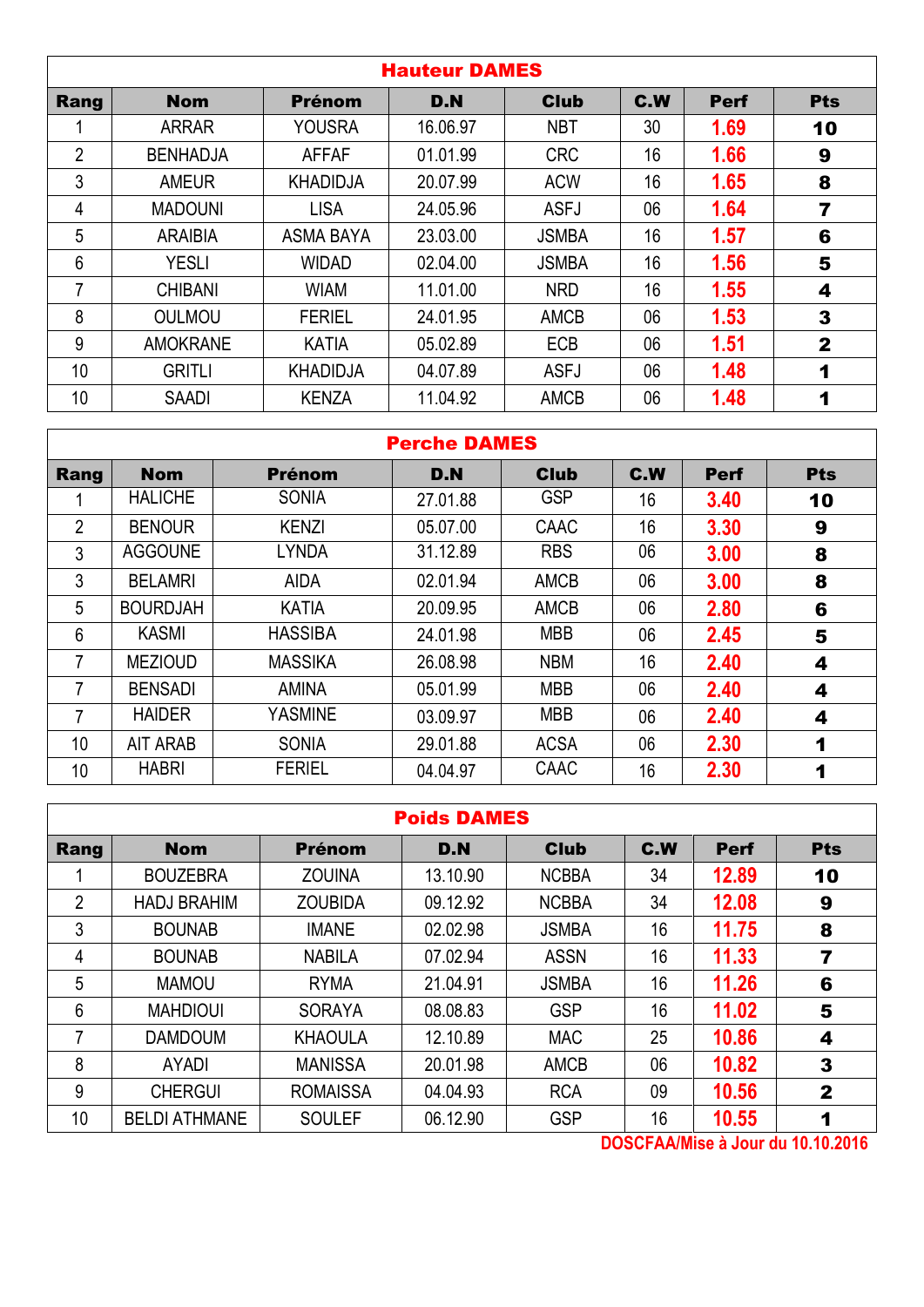| <b>Club</b><br>C.W<br><b>Nom</b><br>D.N<br>Rang<br><b>Prénom</b><br>16.06.97<br><b>NBT</b><br><b>YOUSRA</b><br>30<br><b>ARRAR</b><br>$\overline{2}$<br><b>CRC</b><br>16<br>01.01.99<br><b>BENHADJA</b><br><b>AFFAF</b><br>3<br>16<br>20.07.99<br><b>ACW</b><br><b>AMEUR</b><br><b>KHADIDJA</b> | <b>Perf</b><br>1.69<br>1.66<br>1.65 | <b>Pts</b><br>10<br>9 |
|------------------------------------------------------------------------------------------------------------------------------------------------------------------------------------------------------------------------------------------------------------------------------------------------|-------------------------------------|-----------------------|
|                                                                                                                                                                                                                                                                                                |                                     |                       |
|                                                                                                                                                                                                                                                                                                |                                     |                       |
|                                                                                                                                                                                                                                                                                                |                                     |                       |
|                                                                                                                                                                                                                                                                                                |                                     | 8                     |
| <b>LISA</b><br>24.05.96<br><b>ASFJ</b><br>06<br><b>MADOUNI</b><br>4                                                                                                                                                                                                                            | 1.64                                | 7                     |
| 5<br>16<br>23.03.00<br><b>ASMA BAYA</b><br><b>ARAIBIA</b><br><b>JSMBA</b>                                                                                                                                                                                                                      | 1.57                                | 6                     |
| 6<br>16<br><b>YESLI</b><br><b>WIDAD</b><br>02.04.00<br><b>JSMBA</b>                                                                                                                                                                                                                            | 1.56                                | 5                     |
| 16<br>7<br><b>WIAM</b><br><b>NRD</b><br><b>CHIBANI</b><br>11.01.00                                                                                                                                                                                                                             | 1.55                                | 4                     |
| 8<br>06<br><b>OULMOU</b><br><b>FERIEL</b><br>24.01.95<br><b>AMCB</b>                                                                                                                                                                                                                           | 1.53                                | 3                     |
| 9<br><b>AMOKRANE</b><br>05.02.89<br><b>ECB</b><br>06<br><b>KATIA</b>                                                                                                                                                                                                                           | 1.51                                | $\mathbf{2}$          |
| 10<br>06<br><b>GRITLI</b><br>04.07.89<br><b>ASFJ</b><br><b>KHADIDJA</b>                                                                                                                                                                                                                        | 1.48                                | 1                     |
| 10<br>06<br>11.04.92<br><b>KENZA</b><br><b>AMCB</b><br><b>SAADI</b>                                                                                                                                                                                                                            | 1.48                                | 1                     |

|                | <b>Perche DAMES</b> |                |          |             |     |             |            |  |  |  |  |  |
|----------------|---------------------|----------------|----------|-------------|-----|-------------|------------|--|--|--|--|--|
| Rang           | <b>Nom</b>          | <b>Prénom</b>  | D.N      | <b>Club</b> | C.W | <b>Perf</b> | <b>Pts</b> |  |  |  |  |  |
|                | <b>HALICHE</b>      | <b>SONIA</b>   | 27.01.88 | <b>GSP</b>  | 16  | 3.40        | 10         |  |  |  |  |  |
| $\overline{2}$ | <b>BENOUR</b>       | <b>KENZI</b>   | 05.07.00 | <b>CAAC</b> | 16  | 3.30        | 9          |  |  |  |  |  |
| 3              | <b>AGGOUNE</b>      | <b>LYNDA</b>   | 31.12.89 | <b>RBS</b>  | 06  | 3.00        | 8          |  |  |  |  |  |
| 3              | <b>BELAMRI</b>      | <b>AIDA</b>    | 02.01.94 | <b>AMCB</b> | 06  | 3.00        | 8          |  |  |  |  |  |
| 5              | <b>BOURDJAH</b>     | <b>KATIA</b>   | 20.09.95 | <b>AMCB</b> | 06  | 2.80        | 6          |  |  |  |  |  |
| 6              | <b>KASMI</b>        | <b>HASSIBA</b> | 24.01.98 | <b>MBB</b>  | 06  | 2.45        | 5          |  |  |  |  |  |
| 7              | <b>MEZIOUD</b>      | <b>MASSIKA</b> | 26.08.98 | <b>NBM</b>  | 16  | 2.40        | 4          |  |  |  |  |  |
| 7              | <b>BENSADI</b>      | <b>AMINA</b>   | 05.01.99 | <b>MBB</b>  | 06  | 2.40        | 4          |  |  |  |  |  |
| $\overline{7}$ | <b>HAIDER</b>       | YASMINE        | 03.09.97 | <b>MBB</b>  | 06  | 2.40        | 4          |  |  |  |  |  |
| 10             | <b>AIT ARAB</b>     | <b>SONIA</b>   | 29.01.88 | <b>ACSA</b> | 06  | 2.30        | 1          |  |  |  |  |  |
| 10             | <b>HABRI</b>        | <b>FERIEL</b>  | 04.04.97 | CAAC        | 16  | 2.30        | 1          |  |  |  |  |  |

|                | <b>Poids DAMES</b>   |                 |          |              |            |             |              |  |  |  |  |
|----------------|----------------------|-----------------|----------|--------------|------------|-------------|--------------|--|--|--|--|
| Rang           | <b>Nom</b>           | <b>Prénom</b>   | D.N      | <b>Club</b>  | <b>C.W</b> | <b>Perf</b> | <b>Pts</b>   |  |  |  |  |
|                | <b>BOUZEBRA</b>      | <b>ZOUINA</b>   | 13.10.90 | <b>NCBBA</b> | 34         | 12.89       | 10           |  |  |  |  |
| $\overline{2}$ | <b>HADJ BRAHIM</b>   | <b>ZOUBIDA</b>  | 09.12.92 | <b>NCBBA</b> | 34         | 12.08       | 9            |  |  |  |  |
| 3              | <b>BOUNAB</b>        | <b>IMANE</b>    | 02.02.98 | <b>JSMBA</b> | 16         | 11.75       | 8            |  |  |  |  |
| 4              | <b>BOUNAB</b>        | <b>NABILA</b>   | 07.02.94 | <b>ASSN</b>  | 16         | 11.33       | 7            |  |  |  |  |
| 5              | <b>MAMOU</b>         | <b>RYMA</b>     | 21.04.91 | <b>JSMBA</b> | 16         | 11.26       | 6            |  |  |  |  |
| 6              | <b>MAHDIOUI</b>      | <b>SORAYA</b>   | 08.08.83 | <b>GSP</b>   | 16         | 11.02       | 5            |  |  |  |  |
| 7              | <b>DAMDOUM</b>       | <b>KHAOULA</b>  | 12.10.89 | <b>MAC</b>   | 25         | 10.86       | 4            |  |  |  |  |
| 8              | AYADI                | <b>MANISSA</b>  | 20.01.98 | <b>AMCB</b>  | 06         | 10.82       | 3            |  |  |  |  |
| 9              | <b>CHERGUI</b>       | <b>ROMAISSA</b> | 04.04.93 | <b>RCA</b>   | 09         | 10.56       | $\mathbf{2}$ |  |  |  |  |
| 10             | <b>BELDI ATHMANE</b> | <b>SOULEF</b>   | 06.12.90 | <b>GSP</b>   | 16         | 10.55       | 1            |  |  |  |  |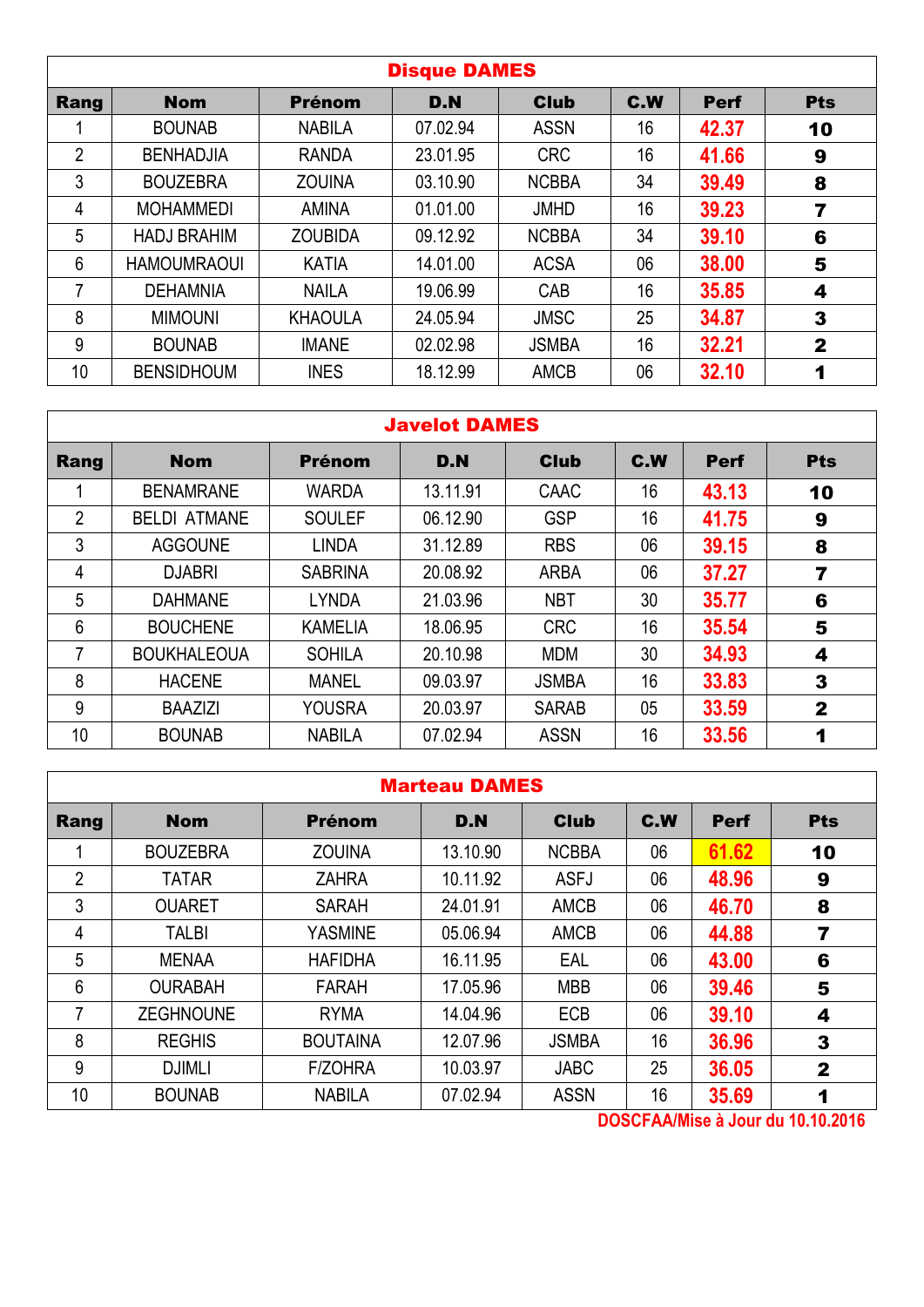|                |                    |                | <b>Disque DAMES</b> |              |     |             |              |
|----------------|--------------------|----------------|---------------------|--------------|-----|-------------|--------------|
| Rang           | <b>Nom</b>         | <b>Prénom</b>  | D.N                 | <b>Club</b>  | C.W | <b>Perf</b> | <b>Pts</b>   |
|                | <b>BOUNAB</b>      | <b>NABILA</b>  | 07.02.94            | <b>ASSN</b>  | 16  | 42.37       | 10           |
| $\overline{2}$ | <b>BENHADJIA</b>   | <b>RANDA</b>   | 23.01.95            | <b>CRC</b>   | 16  | 41.66       | 9            |
| 3              | <b>BOUZEBRA</b>    | <b>ZOUINA</b>  | 03.10.90            | <b>NCBBA</b> | 34  | 39.49       | 8            |
| 4              | <b>MOHAMMEDI</b>   | <b>AMINA</b>   | 01.01.00            | <b>JMHD</b>  | 16  | 39.23       | 7            |
| 5              | <b>HADJ BRAHIM</b> | <b>ZOUBIDA</b> | 09.12.92            | <b>NCBBA</b> | 34  | 39.10       | 6            |
| 6              | <b>HAMOUMRAOUI</b> | <b>KATIA</b>   | 14.01.00            | <b>ACSA</b>  | 06  | 38.00       | 5            |
| 7              | <b>DEHAMNIA</b>    | <b>NAILA</b>   | 19.06.99            | CAB          | 16  | 35.85       | 4            |
| 8              | <b>MIMOUNI</b>     | <b>KHAOULA</b> | 24.05.94            | <b>JMSC</b>  | 25  | 34.87       | 3            |
| 9              | <b>BOUNAB</b>      | <b>IMANE</b>   | 02.02.98            | <b>JSMBA</b> | 16  | 32.21       | $\mathbf{2}$ |
| 10             | <b>BENSIDHOUM</b>  | <b>INES</b>    | 18.12.99            | <b>AMCB</b>  | 06  | 32.10       | 1            |

#### Javelot DAMES

| Rang           | <b>Nom</b>          | <b>Prénom</b>  | D.N      | <b>Club</b>  | C.W | <b>Perf</b> | <b>Pts</b>              |
|----------------|---------------------|----------------|----------|--------------|-----|-------------|-------------------------|
|                | <b>BENAMRANE</b>    | <b>WARDA</b>   | 13.11.91 | CAAC         | 16  | 43.13       | 10                      |
| $\overline{2}$ | <b>BELDI ATMANE</b> | <b>SOULEF</b>  | 06.12.90 | <b>GSP</b>   | 16  | 41.75       | 9                       |
| 3              | <b>AGGOUNE</b>      | <b>LINDA</b>   | 31.12.89 | <b>RBS</b>   | 06  | 39.15       | 8                       |
| 4              | <b>DJABRI</b>       | <b>SABRINA</b> | 20.08.92 | <b>ARBA</b>  | 06  | 37.27       | $\overline{\mathbf{r}}$ |
| 5              | <b>DAHMANE</b>      | <b>LYNDA</b>   | 21.03.96 | <b>NBT</b>   | 30  | 35.77       | 6                       |
| 6              | <b>BOUCHENE</b>     | <b>KAMELIA</b> | 18.06.95 | <b>CRC</b>   | 16  | 35.54       | 5                       |
|                | <b>BOUKHALEOUA</b>  | <b>SOHILA</b>  | 20.10.98 | <b>MDM</b>   | 30  | 34.93       | 4                       |
| 8              | <b>HACENE</b>       | <b>MANEL</b>   | 09.03.97 | <b>JSMBA</b> | 16  | 33.83       | 3                       |
| 9              | <b>BAAZIZI</b>      | <b>YOUSRA</b>  | 20.03.97 | <b>SARAB</b> | 05  | 33.59       | $\mathbf{2}$            |
| 10             | <b>BOUNAB</b>       | <b>NABILA</b>  | 07.02.94 | <b>ASSN</b>  | 16  | 33.56       | 1                       |

|                | <b>Marteau DAMES</b> |                 |          |              |     |             |              |  |  |  |  |
|----------------|----------------------|-----------------|----------|--------------|-----|-------------|--------------|--|--|--|--|
| Rang           | <b>Nom</b>           | <b>Prénom</b>   | D.N      | <b>Club</b>  | C.W | <b>Perf</b> | <b>Pts</b>   |  |  |  |  |
|                | <b>BOUZEBRA</b>      | <b>ZOUINA</b>   | 13.10.90 | <b>NCBBA</b> | 06  | 61.62       | 10           |  |  |  |  |
| $\overline{2}$ | <b>TATAR</b>         | <b>ZAHRA</b>    | 10.11.92 | <b>ASFJ</b>  | 06  | 48.96       | 9            |  |  |  |  |
| 3              | <b>OUARET</b>        | <b>SARAH</b>    | 24.01.91 | <b>AMCB</b>  | 06  | 46.70       | 8            |  |  |  |  |
| 4              | <b>TALBI</b>         | <b>YASMINE</b>  | 05.06.94 | <b>AMCB</b>  | 06  | 44.88       | 7            |  |  |  |  |
| 5              | <b>MENAA</b>         | <b>HAFIDHA</b>  | 16.11.95 | EAL          | 06  | 43.00       | 6            |  |  |  |  |
| 6              | <b>OURABAH</b>       | <b>FARAH</b>    | 17.05.96 | <b>MBB</b>   | 06  | 39.46       | 5            |  |  |  |  |
| 7              | <b>ZEGHNOUNE</b>     | <b>RYMA</b>     | 14.04.96 | <b>ECB</b>   | 06  | 39.10       | 4            |  |  |  |  |
| 8              | <b>REGHIS</b>        | <b>BOUTAINA</b> | 12.07.96 | <b>JSMBA</b> | 16  | 36.96       | 3            |  |  |  |  |
| 9              | <b>DJIMLI</b>        | <b>F/ZOHRA</b>  | 10.03.97 | <b>JABC</b>  | 25  | 36.05       | $\mathbf{2}$ |  |  |  |  |
| 10             | <b>BOUNAB</b>        | <b>NABILA</b>   | 07.02.94 | <b>ASSN</b>  | 16  | 35.69       | 1            |  |  |  |  |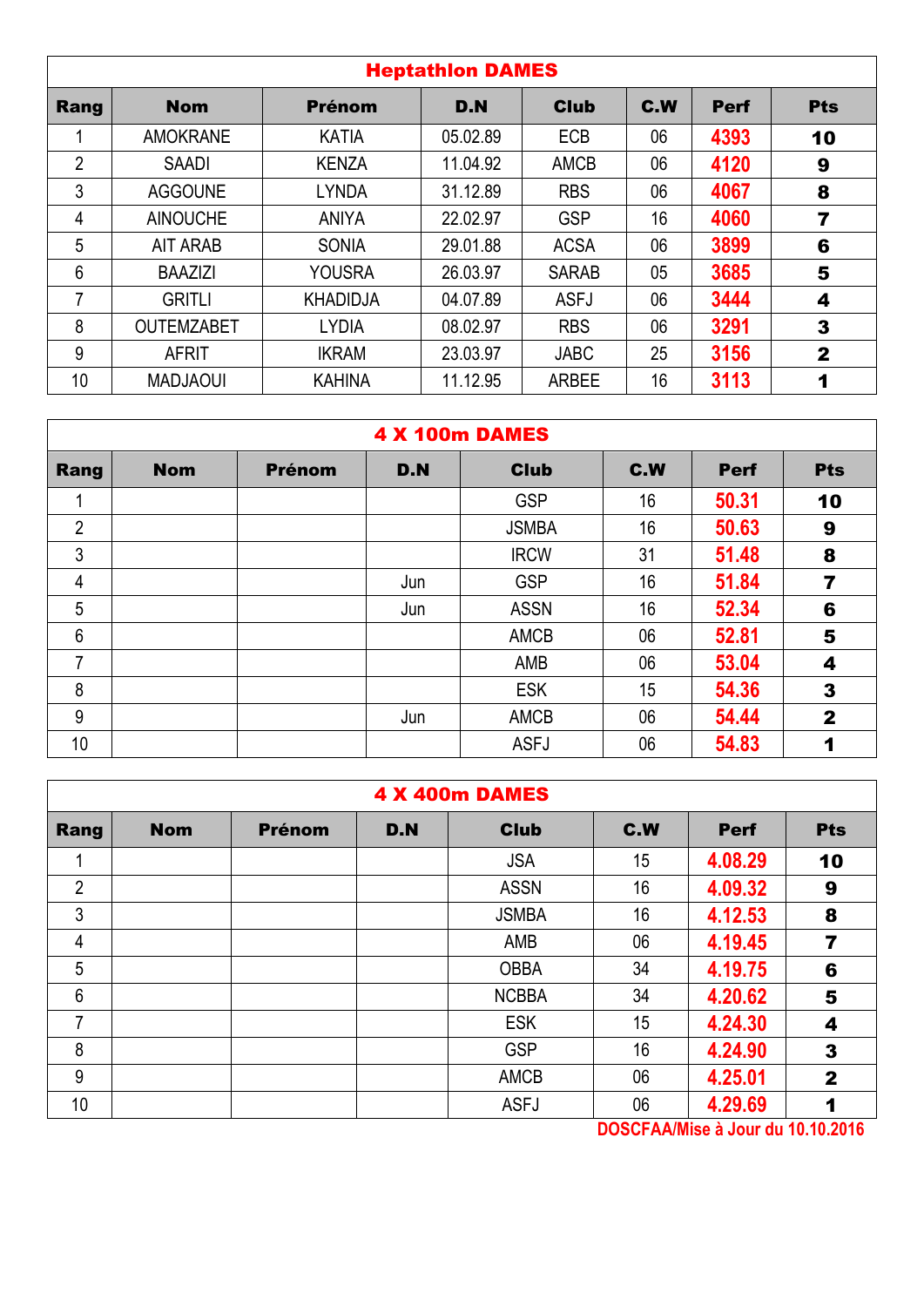|                | <b>Heptathion DAMES</b> |                 |          |              |                 |             |              |  |  |  |  |  |
|----------------|-------------------------|-----------------|----------|--------------|-----------------|-------------|--------------|--|--|--|--|--|
| Rang           | <b>Nom</b>              | <b>Prénom</b>   | D.N      | <b>Club</b>  | C.W             | <b>Perf</b> | <b>Pts</b>   |  |  |  |  |  |
|                | <b>AMOKRANE</b>         | <b>KATIA</b>    | 05.02.89 | <b>ECB</b>   | 06              | 4393        | 10           |  |  |  |  |  |
| $\overline{2}$ | <b>SAADI</b>            | <b>KENZA</b>    | 11.04.92 | <b>AMCB</b>  | 06              | 4120        | 9            |  |  |  |  |  |
| 3              | <b>AGGOUNE</b>          | <b>LYNDA</b>    | 31.12.89 | <b>RBS</b>   | 06              | 4067        | 8            |  |  |  |  |  |
| 4              | <b>AINOUCHE</b>         | <b>ANIYA</b>    | 22.02.97 | <b>GSP</b>   | 16              | 4060        | 7            |  |  |  |  |  |
| 5              | <b>AIT ARAB</b>         | <b>SONIA</b>    | 29.01.88 | <b>ACSA</b>  | 06              | 3899        | 6            |  |  |  |  |  |
| 6              | <b>BAAZIZI</b>          | <b>YOUSRA</b>   | 26.03.97 | <b>SARAB</b> | 05              | 3685        | 5            |  |  |  |  |  |
| 7              | <b>GRITLI</b>           | <b>KHADIDJA</b> | 04.07.89 | <b>ASFJ</b>  | 06              | 3444        | 4            |  |  |  |  |  |
| 8              | <b>OUTEMZABET</b>       | <b>LYDIA</b>    | 08.02.97 | <b>RBS</b>   | 06              | 3291        | 3            |  |  |  |  |  |
| 9              | <b>AFRIT</b>            | <b>IKRAM</b>    | 23.03.97 | <b>JABC</b>  | 25              | 3156        | $\mathbf{2}$ |  |  |  |  |  |
| 10             | <b>MADJAOUI</b>         | <b>KAHINA</b>   | 11.12.95 | <b>ARBEE</b> | 16 <sup>°</sup> | 3113        | 1            |  |  |  |  |  |

|                | <b>4 X 100m DAMES</b> |               |     |              |     |             |                |  |  |  |  |  |
|----------------|-----------------------|---------------|-----|--------------|-----|-------------|----------------|--|--|--|--|--|
| Rang           | <b>Nom</b>            | <b>Prénom</b> | D.N | <b>Club</b>  | C.W | <b>Perf</b> | <b>Pts</b>     |  |  |  |  |  |
|                |                       |               |     | <b>GSP</b>   | 16  | 50.31       | 10             |  |  |  |  |  |
| $\overline{2}$ |                       |               |     | <b>JSMBA</b> | 16  | 50.63       | 9              |  |  |  |  |  |
| 3              |                       |               |     | <b>IRCW</b>  | 31  | 51.48       | 8              |  |  |  |  |  |
| $\overline{4}$ |                       |               | Jun | <b>GSP</b>   | 16  | 51.84       | $\overline{7}$ |  |  |  |  |  |
| 5              |                       |               | Jun | <b>ASSN</b>  | 16  | 52.34       | 6              |  |  |  |  |  |
| $6\phantom{1}$ |                       |               |     | <b>AMCB</b>  | 06  | 52.81       | 5              |  |  |  |  |  |
| 7              |                       |               |     | AMB          | 06  | 53.04       | 4              |  |  |  |  |  |
| 8              |                       |               |     | <b>ESK</b>   | 15  | 54.36       | 3              |  |  |  |  |  |
| 9              |                       |               | Jun | AMCB         | 06  | 54.44       | $\mathbf{2}$   |  |  |  |  |  |
| 10             |                       |               |     | <b>ASFJ</b>  | 06  | 54.83       | 1              |  |  |  |  |  |

|                | <b>4 X 400m DAMES</b> |               |     |              |     |             |              |  |  |  |  |
|----------------|-----------------------|---------------|-----|--------------|-----|-------------|--------------|--|--|--|--|
| Rang           | <b>Nom</b>            | <b>Prénom</b> | D.N | <b>Club</b>  | C.W | <b>Perf</b> | <b>Pts</b>   |  |  |  |  |
|                |                       |               |     | <b>JSA</b>   | 15  | 4.08.29     | 10           |  |  |  |  |
| $\overline{2}$ |                       |               |     | <b>ASSN</b>  | 16  | 4.09.32     | 9            |  |  |  |  |
| 3              |                       |               |     | <b>JSMBA</b> | 16  | 4.12.53     | 8            |  |  |  |  |
| 4              |                       |               |     | AMB          | 06  | 4.19.45     | 7            |  |  |  |  |
| 5              |                       |               |     | <b>OBBA</b>  | 34  | 4.19.75     | 6            |  |  |  |  |
| 6              |                       |               |     | <b>NCBBA</b> | 34  | 4.20.62     | 5            |  |  |  |  |
| 7              |                       |               |     | <b>ESK</b>   | 15  | 4.24.30     | 4            |  |  |  |  |
| 8              |                       |               |     | <b>GSP</b>   | 16  | 4.24.90     | 3            |  |  |  |  |
| 9              |                       |               |     | <b>AMCB</b>  | 06  | 4.25.01     | $\mathbf{2}$ |  |  |  |  |
| 10             |                       |               |     | <b>ASFJ</b>  | 06  | 4.29.69     | 1            |  |  |  |  |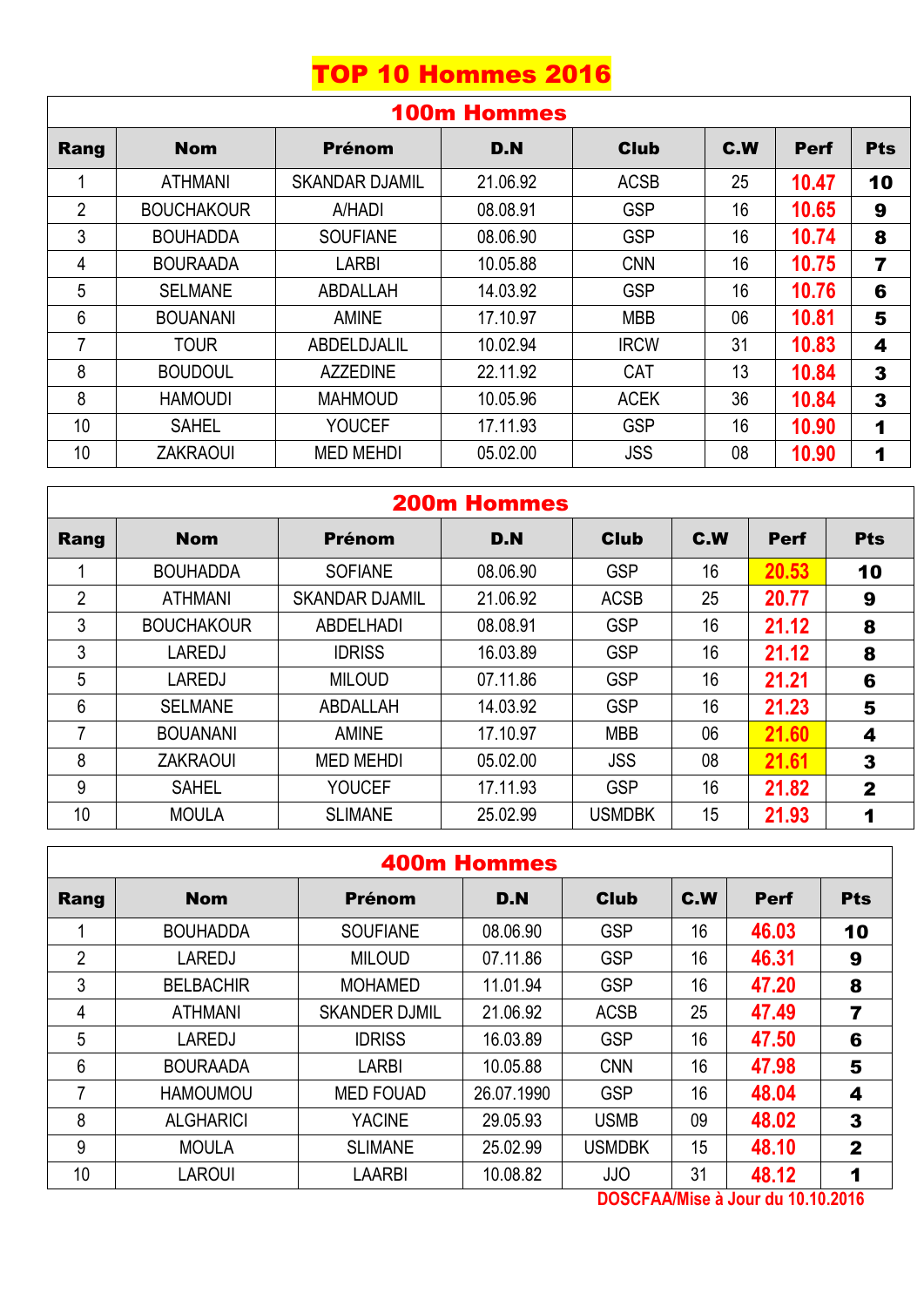# TOP 10 Hommes 2016

|                | <b>100m Hommes</b> |                       |          |             |     |             |                      |  |  |  |  |
|----------------|--------------------|-----------------------|----------|-------------|-----|-------------|----------------------|--|--|--|--|
| Rang           | <b>Nom</b>         | <b>Prénom</b>         | D.N      | <b>Club</b> | C.W | <b>Perf</b> | <b>Pts</b>           |  |  |  |  |
|                | <b>ATHMANI</b>     | <b>SKANDAR DJAMIL</b> | 21.06.92 | <b>ACSB</b> | 25  | 10.47       | 10                   |  |  |  |  |
| $\overline{2}$ | <b>BOUCHAKOUR</b>  | A/HADI                | 08.08.91 | <b>GSP</b>  | 16  | 10.65       | 9                    |  |  |  |  |
| 3              | <b>BOUHADDA</b>    | <b>SOUFIANE</b>       | 08.06.90 | <b>GSP</b>  | 16  | 10.74       | 8                    |  |  |  |  |
| 4              | <b>BOURAADA</b>    | <b>LARBI</b>          | 10.05.88 | <b>CNN</b>  | 16  | 10.75       | 7                    |  |  |  |  |
| 5              | <b>SELMANE</b>     | ABDALLAH              | 14.03.92 | <b>GSP</b>  | 16  | 10.76       | 6                    |  |  |  |  |
| 6              | <b>BOUANANI</b>    | <b>AMINE</b>          | 17.10.97 | <b>MBB</b>  | 06  | 10.81       | 5                    |  |  |  |  |
| 7              | <b>TOUR</b>        | ABDELDJALIL           | 10.02.94 | <b>IRCW</b> | 31  | 10.83       | 4                    |  |  |  |  |
| 8              | <b>BOUDOUL</b>     | <b>AZZEDINE</b>       | 22.11.92 | <b>CAT</b>  | 13  | 10.84       | 3                    |  |  |  |  |
| 8              | <b>HAMOUDI</b>     | <b>MAHMOUD</b>        | 10.05.96 | <b>ACEK</b> | 36  | 10.84       | 3                    |  |  |  |  |
| 10             | <b>SAHEL</b>       | <b>YOUCEF</b>         | 17.11.93 | <b>GSP</b>  | 16  | 10.90       | $\blacktriangleleft$ |  |  |  |  |
| 10             | <b>ZAKRAOUI</b>    | <b>MED MEHDI</b>      | 05.02.00 | <b>JSS</b>  | 08  | 10.90       | 1                    |  |  |  |  |

| <b>200m Hommes</b> |                   |                       |          |               |     |             |              |  |  |
|--------------------|-------------------|-----------------------|----------|---------------|-----|-------------|--------------|--|--|
| Rang               | <b>Nom</b>        | Prénom                | D.N      | <b>Club</b>   | C.W | <b>Perf</b> | <b>Pts</b>   |  |  |
|                    | <b>BOUHADDA</b>   | <b>SOFIANE</b>        | 08.06.90 | <b>GSP</b>    | 16  | 20.53       | 10           |  |  |
| $\overline{2}$     | <b>ATHMANI</b>    | <b>SKANDAR DJAMIL</b> | 21.06.92 | <b>ACSB</b>   | 25  | 20.77       | 9            |  |  |
| 3                  | <b>BOUCHAKOUR</b> | <b>ABDELHADI</b>      | 08.08.91 | <b>GSP</b>    | 16  | 21.12       | 8            |  |  |
| 3                  | LAREDJ            | <b>IDRISS</b>         | 16.03.89 | <b>GSP</b>    | 16  | 21.12       | 8            |  |  |
| 5                  | <b>LAREDJ</b>     | <b>MILOUD</b>         | 07.11.86 | <b>GSP</b>    | 16  | 21.21       | 6            |  |  |
| 6                  | <b>SELMANE</b>    | ABDALLAH              | 14.03.92 | <b>GSP</b>    | 16  | 21.23       | 5            |  |  |
|                    | <b>BOUANANI</b>   | <b>AMINE</b>          | 17.10.97 | <b>MBB</b>    | 06  | 21.60       | 4            |  |  |
| 8                  | <b>ZAKRAOUI</b>   | <b>MED MEHDI</b>      | 05.02.00 | <b>JSS</b>    | 08  | 21.61       | 3            |  |  |
| 9                  | <b>SAHEL</b>      | <b>YOUCEF</b>         | 17.11.93 | <b>GSP</b>    | 16  | 21.82       | $\mathbf{2}$ |  |  |
| 10                 | <b>MOULA</b>      | <b>SLIMANE</b>        | 25.02.99 | <b>USMDBK</b> | 15  | 21.93       | 1            |  |  |

## 400m Hommes

| Rang | <b>Nom</b>       | <b>Prénom</b>        | D.N        | <b>Club</b>   | C.W | <b>Perf</b> | <b>Pts</b>   |
|------|------------------|----------------------|------------|---------------|-----|-------------|--------------|
|      | <b>BOUHADDA</b>  | <b>SOUFIANE</b>      | 08.06.90   | <b>GSP</b>    | 16  | 46.03       | 10           |
| 2    | <b>LAREDJ</b>    | <b>MILOUD</b>        | 07.11.86   | <b>GSP</b>    | 16  | 46.31       | 9            |
| 3    | <b>BELBACHIR</b> | <b>MOHAMED</b>       | 11.01.94   | <b>GSP</b>    | 16  | 47.20       | 8            |
| 4    | <b>ATHMANI</b>   | <b>SKANDER DJMIL</b> | 21.06.92   | <b>ACSB</b>   | 25  | 47.49       | 7            |
| 5    | <b>LAREDJ</b>    | <b>IDRISS</b>        | 16.03.89   | <b>GSP</b>    | 16  | 47.50       | 6            |
| 6    | <b>BOURAADA</b>  | <b>LARBI</b>         | 10.05.88   | <b>CNN</b>    | 16  | 47.98       | 5            |
| 7    | <b>HAMOUMOU</b>  | <b>MED FOUAD</b>     | 26.07.1990 | <b>GSP</b>    | 16  | 48.04       | 4            |
| 8    | <b>ALGHARICI</b> | <b>YACINE</b>        | 29.05.93   | <b>USMB</b>   | 09  | 48.02       | 3            |
| 9    | <b>MOULA</b>     | <b>SLIMANE</b>       | 25.02.99   | <b>USMDBK</b> | 15  | 48.10       | $\mathbf{2}$ |
| 10   | <b>LAROUI</b>    | <b>LAARBI</b>        | 10.08.82   | <b>JJO</b>    | 31  | 48.12       | и            |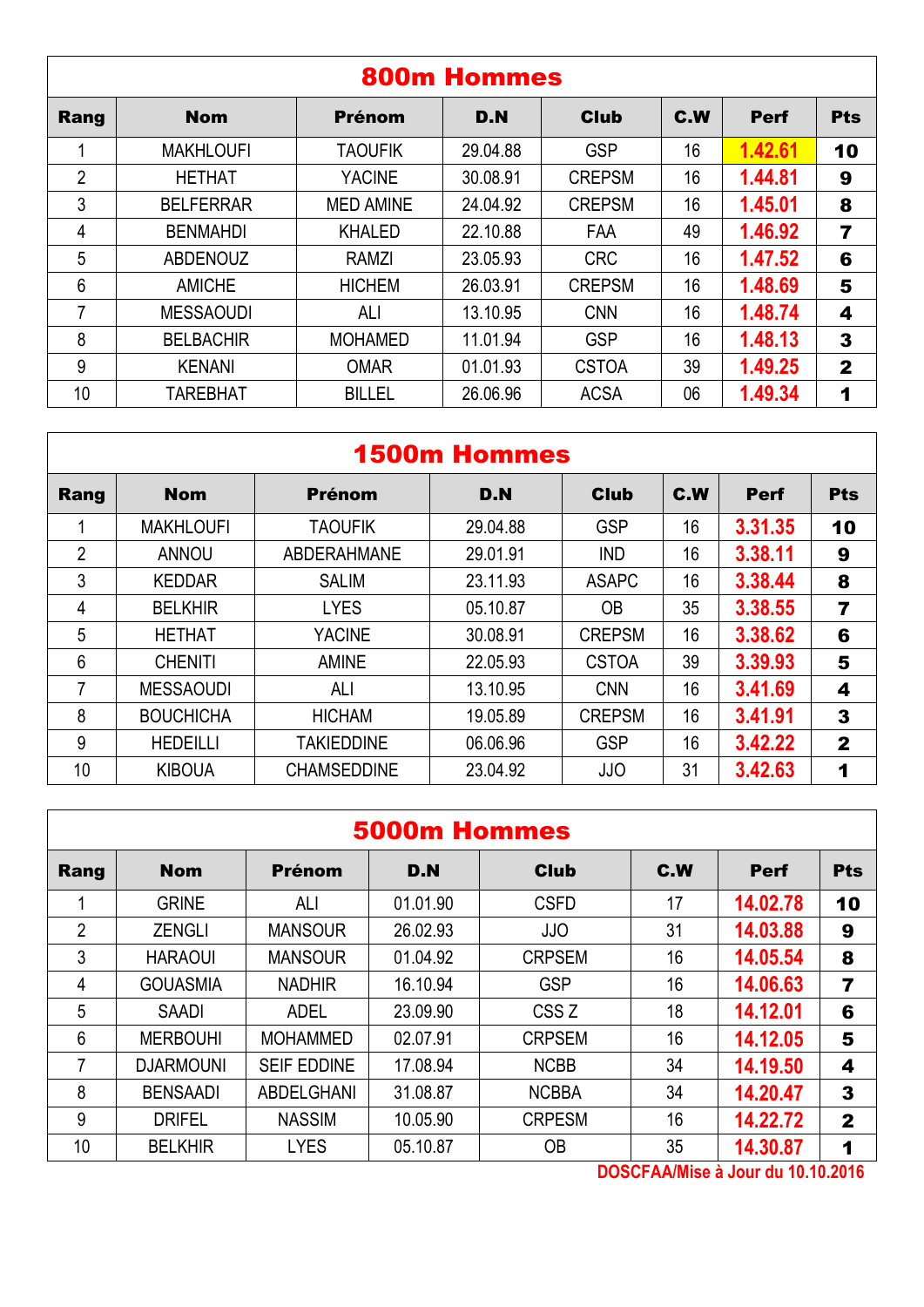|                |                  |                  | <b>800m Hommes</b> |               |     |             |                |
|----------------|------------------|------------------|--------------------|---------------|-----|-------------|----------------|
| Rang           | <b>Nom</b>       | <b>Prénom</b>    | D.N                | <b>Club</b>   | C.W | <b>Perf</b> | <b>Pts</b>     |
|                | <b>MAKHLOUFI</b> | <b>TAOUFIK</b>   | 29.04.88           | <b>GSP</b>    | 16  | 1.42.61     | 10             |
| $\overline{2}$ | <b>HETHAT</b>    | <b>YACINE</b>    | 30.08.91           | <b>CREPSM</b> | 16  | 1.44.81     | 9              |
| 3              | <b>BELFERRAR</b> | <b>MED AMINE</b> | 24.04.92           | <b>CREPSM</b> | 16  | 1.45.01     | 8              |
| 4              | <b>BENMAHDI</b>  | <b>KHALED</b>    | 22.10.88           | <b>FAA</b>    | 49  | 1.46.92     | $\overline{7}$ |
| 5              | <b>ABDENOUZ</b>  | RAMZI            | 23.05.93           | <b>CRC</b>    | 16  | 1.47.52     | 6              |
| 6              | <b>AMICHE</b>    | <b>HICHEM</b>    | 26.03.91           | <b>CREPSM</b> | 16  | 1.48.69     | 5              |
| 7              | <b>MESSAOUDI</b> | ALI              | 13.10.95           | <b>CNN</b>    | 16  | 1.48.74     | 4              |
| 8              | <b>BELBACHIR</b> | <b>MOHAMED</b>   | 11.01.94           | <b>GSP</b>    | 16  | 1.48.13     | 3              |
| 9              | <b>KENANI</b>    | <b>OMAR</b>      | 01.01.93           | <b>CSTOA</b>  | 39  | 1.49.25     | $\mathbf 2$    |
| 10             | <b>TAREBHAT</b>  | <b>BILLEL</b>    | 26.06.96           | <b>ACSA</b>   | 06  | 1.49.34     | 1              |

## 1500m Hommes

| Rang | <b>Nom</b>       | <b>Prénom</b>      | D.N      | <b>Club</b>   | C.W | <b>Perf</b> | <b>Pts</b>     |
|------|------------------|--------------------|----------|---------------|-----|-------------|----------------|
|      | <b>MAKHLOUFI</b> | <b>TAOUFIK</b>     | 29.04.88 | <b>GSP</b>    | 16  | 3.31.35     | 10             |
| 2    | <b>ANNOU</b>     | <b>ABDERAHMANE</b> | 29.01.91 | <b>IND</b>    | 16  | 3.38.11     | 9              |
| 3    | <b>KEDDAR</b>    | <b>SALIM</b>       | 23.11.93 | <b>ASAPC</b>  | 16  | 3.38.44     | 8              |
| 4    | <b>BELKHIR</b>   | <b>LYES</b>        | 05.10.87 | <b>OB</b>     | 35  | 3.38.55     | $\overline{7}$ |
| 5    | <b>HETHAT</b>    | <b>YACINE</b>      | 30.08.91 | <b>CREPSM</b> | 16  | 3.38.62     | 6              |
| 6    | <b>CHENITI</b>   | <b>AMINE</b>       | 22.05.93 | <b>CSTOA</b>  | 39  | 3.39.93     | 5              |
| 7    | <b>MESSAOUDI</b> | ALI                | 13.10.95 | <b>CNN</b>    | 16  | 3.41.69     | 4              |
| 8    | <b>BOUCHICHA</b> | <b>HICHAM</b>      | 19.05.89 | <b>CREPSM</b> | 16  | 3.41.91     | 3              |
| 9    | <b>HEDEILLI</b>  | <b>TAKIEDDINE</b>  | 06.06.96 | <b>GSP</b>    | 16  | 3.42.22     | $\mathbf{2}$   |
| 10   | <b>KIBOUA</b>    | <b>CHAMSEDDINE</b> | 23.04.92 | <b>JJO</b>    | 31  | 3.42.63     | 1              |

|                | <b>5000m Hommes</b> |                    |          |                  |     |             |              |  |  |  |  |
|----------------|---------------------|--------------------|----------|------------------|-----|-------------|--------------|--|--|--|--|
| <b>Rang</b>    | <b>Nom</b>          | <b>Prénom</b>      | D.N      | <b>Club</b>      | C.W | <b>Perf</b> | <b>Pts</b>   |  |  |  |  |
| 1              | <b>GRINE</b>        | ALI                | 01.01.90 | <b>CSFD</b>      | 17  | 14.02.78    | 10           |  |  |  |  |
| $\overline{2}$ | <b>ZENGLI</b>       | <b>MANSOUR</b>     | 26.02.93 | <b>JJO</b>       | 31  | 14.03.88    | 9            |  |  |  |  |
| 3              | <b>HARAOUI</b>      | <b>MANSOUR</b>     | 01.04.92 | <b>CRPSEM</b>    | 16  | 14.05.54    | 8            |  |  |  |  |
| 4              | <b>GOUASMIA</b>     | <b>NADHIR</b>      | 16.10.94 | <b>GSP</b>       | 16  | 14.06.63    | 7            |  |  |  |  |
| 5              | <b>SAADI</b>        | <b>ADEL</b>        | 23.09.90 | CSS <sub>Z</sub> | 18  | 14.12.01    | 6            |  |  |  |  |
| 6              | <b>MERBOUHI</b>     | <b>MOHAMMED</b>    | 02.07.91 | <b>CRPSEM</b>    | 16  | 14.12.05    | 5            |  |  |  |  |
| 7              | <b>DJARMOUNI</b>    | <b>SEIF EDDINE</b> | 17.08.94 | <b>NCBB</b>      | 34  | 14.19.50    | 4            |  |  |  |  |
| 8              | <b>BENSAADI</b>     | <b>ABDELGHANI</b>  | 31.08.87 | <b>NCBBA</b>     | 34  | 14.20.47    | 3            |  |  |  |  |
| 9              | <b>DRIFEL</b>       | <b>NASSIM</b>      | 10.05.90 | <b>CRPESM</b>    | 16  | 14.22.72    | $\mathbf{2}$ |  |  |  |  |
| 10             | <b>BELKHIR</b>      | <b>LYES</b>        | 05.10.87 | <b>OB</b>        | 35  | 14.30.87    | 1            |  |  |  |  |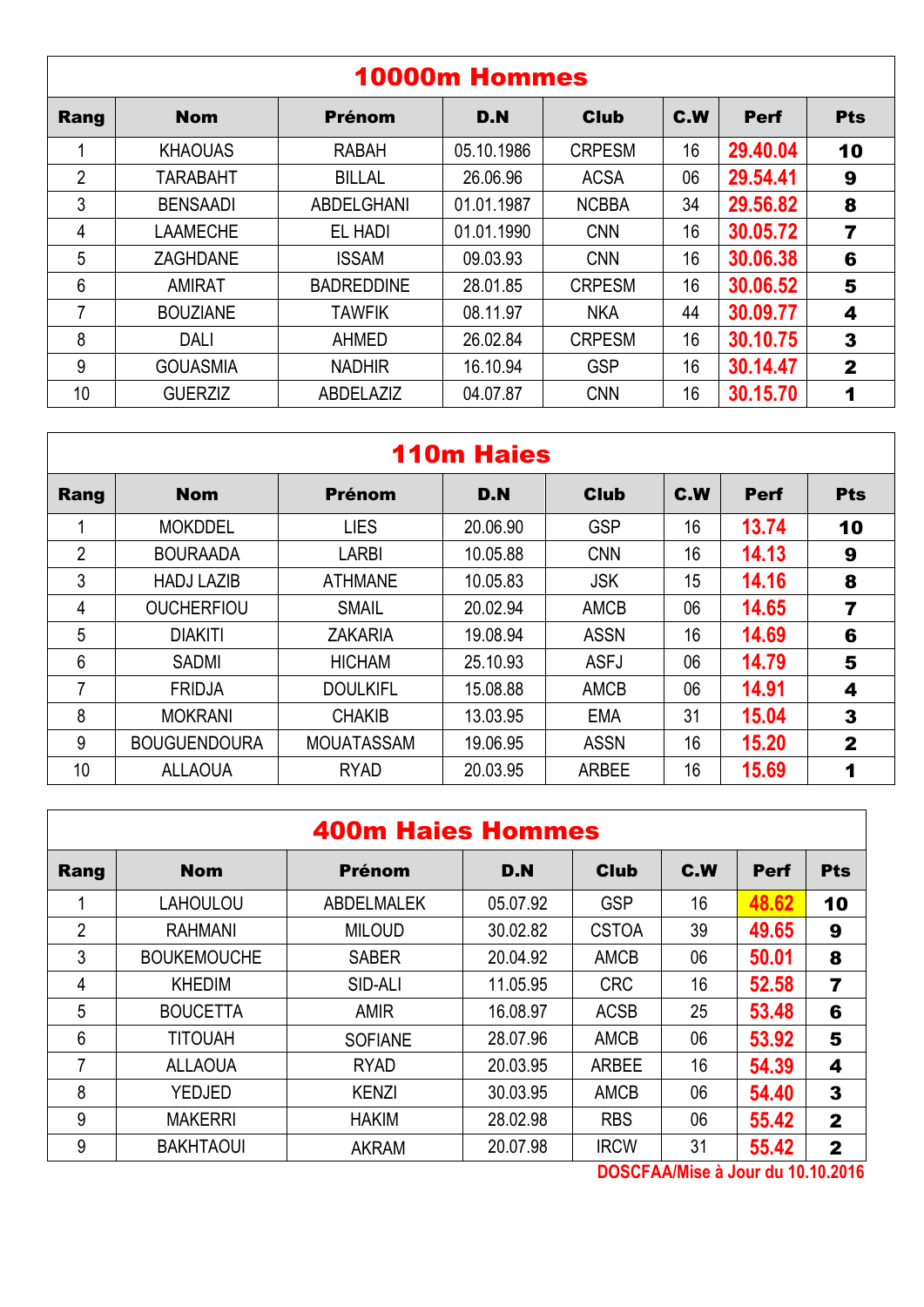| <b>10000m Hommes</b> |                 |                   |            |               |     |             |              |  |  |
|----------------------|-----------------|-------------------|------------|---------------|-----|-------------|--------------|--|--|
| Rang                 | <b>Nom</b>      | <b>Prénom</b>     | D.N        | <b>Club</b>   | C.W | <b>Perf</b> | <b>Pts</b>   |  |  |
|                      | <b>KHAOUAS</b>  | <b>RABAH</b>      | 05.10.1986 | <b>CRPESM</b> | 16  | 29.40.04    | 10           |  |  |
| $\overline{2}$       | <b>TARABAHT</b> | <b>BILLAL</b>     | 26.06.96   | <b>ACSA</b>   | 06  | 29.54.41    | 9            |  |  |
| 3                    | <b>BENSAADI</b> | <b>ABDELGHANI</b> | 01.01.1987 | <b>NCBBA</b>  | 34  | 29,56.82    | 8            |  |  |
| 4                    | LAAMECHE        | EL HADI           | 01.01.1990 | <b>CNN</b>    | 16  | 30.05.72    | 7            |  |  |
| 5                    | <b>ZAGHDANE</b> | <b>ISSAM</b>      | 09.03.93   | <b>CNN</b>    | 16  | 30.06.38    | 6            |  |  |
| 6                    | <b>AMIRAT</b>   | <b>BADREDDINE</b> | 28.01.85   | <b>CRPESM</b> | 16  | 30.06.52    | 5            |  |  |
| 7                    | <b>BOUZIANE</b> | <b>TAWFIK</b>     | 08.11.97   | <b>NKA</b>    | 44  | 30.09.77    | 4            |  |  |
| 8                    | <b>DALI</b>     | AHMED             | 26.02.84   | <b>CRPESM</b> | 16  | 30.10.75    | 3            |  |  |
| 9                    | <b>GOUASMIA</b> | <b>NADHIR</b>     | 16.10.94   | <b>GSP</b>    | 16  | 30.14.47    | $\mathbf{2}$ |  |  |
| 10                   | <b>GUERZIZ</b>  | ABDELAZIZ         | 04.07.87   | <b>CNN</b>    | 16  | 30.15.70    | 1            |  |  |

## 110m Haies

| Rang           | <b>Nom</b>          | <b>Prénom</b>     | D.N      | <b>Club</b>  | C.W | <b>Perf</b> | <b>Pts</b>   |
|----------------|---------------------|-------------------|----------|--------------|-----|-------------|--------------|
|                | <b>MOKDDEL</b>      | <b>LIES</b>       | 20.06.90 | <b>GSP</b>   | 16  | 13.74       | 10           |
| $\overline{2}$ | <b>BOURAADA</b>     | <b>LARBI</b>      | 10.05.88 | <b>CNN</b>   | 16  | 14.13       | 9            |
| 3              | <b>HADJ LAZIB</b>   | <b>ATHMANE</b>    | 10.05.83 | <b>JSK</b>   | 15  | 14.16       | 8            |
| 4              | <b>OUCHERFIOU</b>   | <b>SMAIL</b>      | 20.02.94 | <b>AMCB</b>  | 06  | 14.65       | 7            |
| 5              | <b>DIAKITI</b>      | <b>ZAKARIA</b>    | 19.08.94 | <b>ASSN</b>  | 16  | 14.69       | 6            |
| 6              | <b>SADMI</b>        | <b>HICHAM</b>     | 25.10.93 | <b>ASFJ</b>  | 06  | 14.79       | 5            |
| 7              | <b>FRIDJA</b>       | <b>DOULKIFL</b>   | 15.08.88 | <b>AMCB</b>  | 06  | 14.91       | 4            |
| 8              | <b>MOKRANI</b>      | <b>CHAKIB</b>     | 13.03.95 | <b>EMA</b>   | 31  | 15.04       | 3            |
| 9              | <b>BOUGUENDOURA</b> | <b>MOUATASSAM</b> | 19.06.95 | <b>ASSN</b>  | 16  | 15.20       | $\mathbf{2}$ |
| 10             | <b>ALLAOUA</b>      | <b>RYAD</b>       | 20.03.95 | <b>ARBEE</b> | 16  | 15.69       | 1            |

## 400m Haies Hommes

| Rang           | <b>Nom</b>         | <b>Prénom</b>     | D.N      | <b>Club</b>  | C.W | <b>Perf</b> | <b>Pts</b>     |
|----------------|--------------------|-------------------|----------|--------------|-----|-------------|----------------|
|                | LAHOULOU           | <b>ABDELMALEK</b> | 05.07.92 | <b>GSP</b>   | 16  | 48.62       | 10             |
| $\overline{2}$ | <b>RAHMANI</b>     | <b>MILOUD</b>     | 30.02.82 | <b>CSTOA</b> | 39  | 49.65       | 9              |
| 3              | <b>BOUKEMOUCHE</b> | <b>SABER</b>      | 20.04.92 | <b>AMCB</b>  | 06  | 50.01       | 8              |
| 4              | <b>KHEDIM</b>      | SID-ALI           | 11.05.95 | <b>CRC</b>   | 16  | 52.58       | $\overline{7}$ |
| 5              | <b>BOUCETTA</b>    | <b>AMIR</b>       | 16.08.97 | <b>ACSB</b>  | 25  | 53.48       | 6              |
| 6              | <b>TITOUAH</b>     | <b>SOFIANE</b>    | 28.07.96 | <b>AMCB</b>  | 06  | 53.92       | 5              |
| 7              | <b>ALLAOUA</b>     | <b>RYAD</b>       | 20.03.95 | <b>ARBEE</b> | 16  | 54.39       | 4              |
| 8              | <b>YEDJED</b>      | <b>KENZI</b>      | 30.03.95 | <b>AMCB</b>  | 06  | 54.40       | 3              |
| 9              | <b>MAKERRI</b>     | <b>HAKIM</b>      | 28.02.98 | <b>RBS</b>   | 06  | 55.42       | $\mathbf{2}$   |
| 9              | <b>BAKHTAOUI</b>   | <b>AKRAM</b>      | 20.07.98 | <b>IRCW</b>  | 31  | 55.42       | $\mathbf 2$    |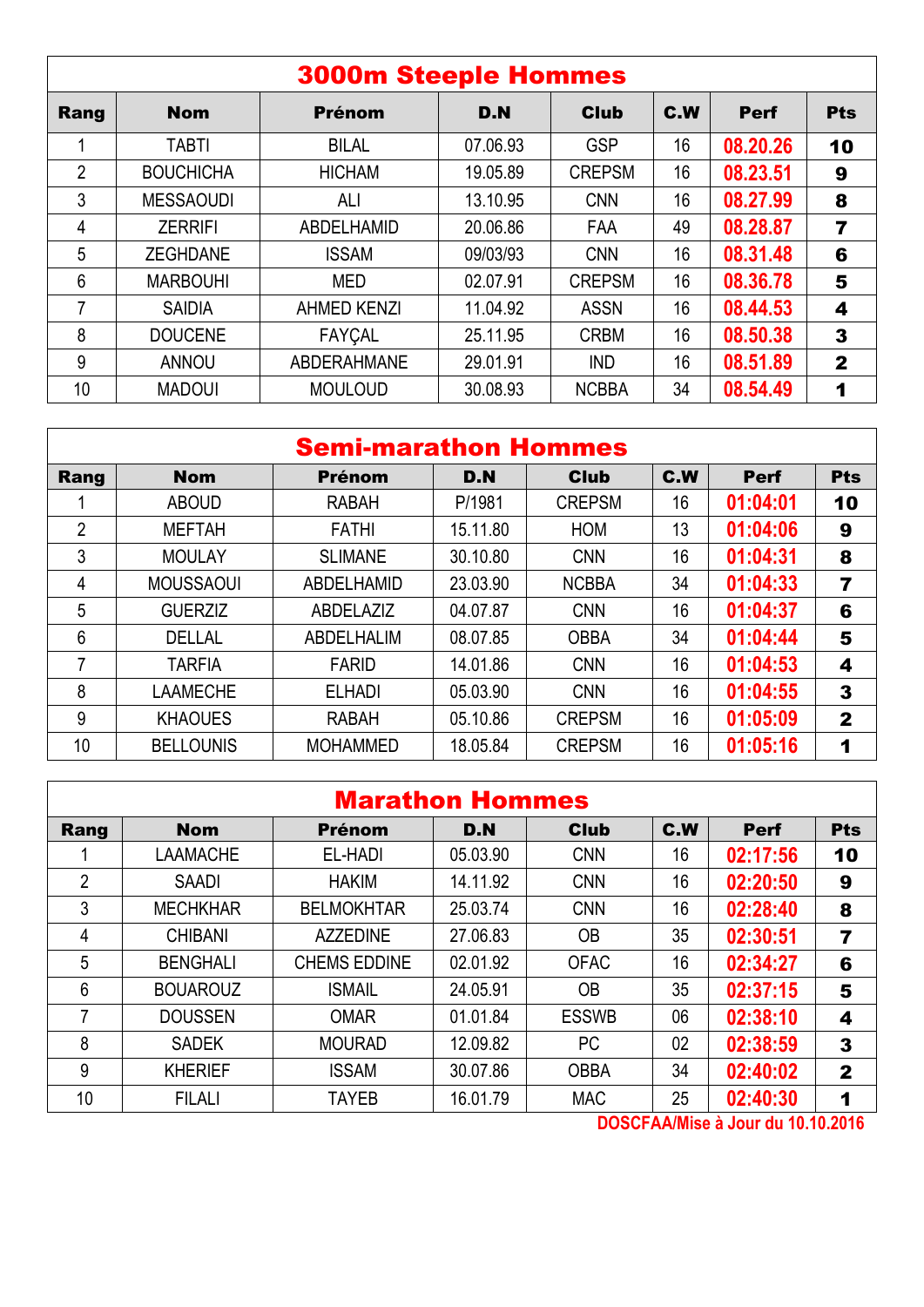|                | <b>3000m Steeple Hommes</b> |                    |          |               |     |             |                         |  |  |  |
|----------------|-----------------------------|--------------------|----------|---------------|-----|-------------|-------------------------|--|--|--|
| Rang           | <b>Nom</b>                  | <b>Prénom</b>      | D.N      | <b>Club</b>   | C.W | <b>Perf</b> | <b>Pts</b>              |  |  |  |
|                | <b>TABTI</b>                | <b>BILAL</b>       | 07.06.93 | <b>GSP</b>    | 16  | 08.20.26    | 10                      |  |  |  |
| $\overline{2}$ | <b>BOUCHICHA</b>            | <b>HICHAM</b>      | 19.05.89 | <b>CREPSM</b> | 16  | 08.23.51    | 9                       |  |  |  |
| 3              | <b>MESSAOUDI</b>            | ALI                | 13.10.95 | <b>CNN</b>    | 16  | 08.27.99    | 8                       |  |  |  |
| 4              | <b>ZERRIFI</b>              | ABDELHAMID         | 20.06.86 | <b>FAA</b>    | 49  | 08.28.87    | $\overline{\mathbf{r}}$ |  |  |  |
| 5              | <b>ZEGHDANE</b>             | <b>ISSAM</b>       | 09/03/93 | <b>CNN</b>    | 16  | 08.31.48    | 6                       |  |  |  |
| $6\phantom{1}$ | <b>MARBOUHI</b>             | MED                | 02.07.91 | <b>CREPSM</b> | 16  | 08.36.78    | 5                       |  |  |  |
| 7              | <b>SAIDIA</b>               | <b>AHMED KENZI</b> | 11.04.92 | <b>ASSN</b>   | 16  | 08.44.53    | 4                       |  |  |  |
| 8              | <b>DOUCENE</b>              | <b>FAYÇAL</b>      | 25.11.95 | <b>CRBM</b>   | 16  | 08.50.38    | 3                       |  |  |  |
| 9              | <b>ANNOU</b>                | <b>ABDERAHMANE</b> | 29.01.91 | <b>IND</b>    | 16  | 08.51.89    | $\mathbf{2}$            |  |  |  |
| 10             | <b>MADOUI</b>               | <b>MOULOUD</b>     | 30.08.93 | <b>NCBBA</b>  | 34  | 08.54.49    | 1                       |  |  |  |

| <b>Semi-marathon Hommes</b> |                  |                 |          |               |     |             |              |  |
|-----------------------------|------------------|-----------------|----------|---------------|-----|-------------|--------------|--|
| Rang                        | <b>Nom</b>       | <b>Prénom</b>   | D.N      | <b>Club</b>   | C.W | <b>Perf</b> | <b>Pts</b>   |  |
|                             | <b>ABOUD</b>     | <b>RABAH</b>    | P/1981   | <b>CREPSM</b> | 16  | 01:04:01    | 10           |  |
| $\overline{2}$              | <b>MEFTAH</b>    | <b>FATHI</b>    | 15.11.80 | <b>HOM</b>    | 13  | 01:04:06    | 9            |  |
| 3                           | <b>MOULAY</b>    | <b>SLIMANE</b>  | 30.10.80 | <b>CNN</b>    | 16  | 01:04:31    | 8            |  |
| 4                           | <b>MOUSSAOUI</b> | ABDELHAMID      | 23.03.90 | <b>NCBBA</b>  | 34  | 01:04:33    | 7            |  |
| 5                           | <b>GUERZIZ</b>   | ABDELAZIZ       | 04.07.87 | <b>CNN</b>    | 16  | 01:04:37    | 6            |  |
| 6                           | <b>DELLAL</b>    | ABDELHALIM      | 08.07.85 | <b>OBBA</b>   | 34  | 01:04:44    | 5            |  |
| 7                           | <b>TARFIA</b>    | <b>FARID</b>    | 14.01.86 | <b>CNN</b>    | 16  | 01:04:53    | 4            |  |
| 8                           | <b>LAAMECHE</b>  | <b>ELHADI</b>   | 05.03.90 | <b>CNN</b>    | 16  | 01:04:55    | 3            |  |
| 9                           | <b>KHAOUES</b>   | <b>RABAH</b>    | 05.10.86 | <b>CREPSM</b> | 16  | 01:05:09    | $\mathbf{2}$ |  |
| 10                          | <b>BELLOUNIS</b> | <b>MOHAMMED</b> | 18.05.84 | <b>CREPSM</b> | 16  | 01:05:16    |              |  |

|                | <b>Marathon Hommes</b> |                     |          |              |            |             |                         |  |  |  |  |
|----------------|------------------------|---------------------|----------|--------------|------------|-------------|-------------------------|--|--|--|--|
| Rang           | <b>Nom</b>             | <b>Prénom</b>       | D.N      | <b>Club</b>  | <b>C.W</b> | <b>Perf</b> | <b>Pts</b>              |  |  |  |  |
|                | <b>LAAMACHE</b>        | EL-HADI             | 05.03.90 | <b>CNN</b>   | 16         | 02:17:56    | 10                      |  |  |  |  |
| $\overline{2}$ | <b>SAADI</b>           | <b>HAKIM</b>        | 14.11.92 | <b>CNN</b>   | 16         | 02:20:50    | 9                       |  |  |  |  |
| 3              | <b>MECHKHAR</b>        | <b>BELMOKHTAR</b>   | 25.03.74 | <b>CNN</b>   | 16         | 02:28:40    | 8                       |  |  |  |  |
| 4              | <b>CHIBANI</b>         | <b>AZZEDINE</b>     | 27.06.83 | <b>OB</b>    | 35         | 02:30:51    | $\overline{\mathbf{z}}$ |  |  |  |  |
| 5              | <b>BENGHALI</b>        | <b>CHEMS EDDINE</b> | 02.01.92 | <b>OFAC</b>  | 16         | 02:34:27    | 6                       |  |  |  |  |
| 6              | <b>BOUAROUZ</b>        | <b>ISMAIL</b>       | 24.05.91 | <b>OB</b>    | 35         | 02:37:15    | 5                       |  |  |  |  |
| 7              | <b>DOUSSEN</b>         | <b>OMAR</b>         | 01.01.84 | <b>ESSWB</b> | 06         | 02:38:10    | 4                       |  |  |  |  |
| 8              | <b>SADEK</b>           | <b>MOURAD</b>       | 12.09.82 | PC           | 02         | 02:38:59    | 3                       |  |  |  |  |
| 9              | <b>KHERIEF</b>         | <b>ISSAM</b>        | 30.07.86 | <b>OBBA</b>  | 34         | 02:40:02    | $\mathbf{2}$            |  |  |  |  |
| 10             | <b>FILALI</b>          | <b>TAYEB</b>        | 16.01.79 | <b>MAC</b>   | 25         | 02:40:30    | 1                       |  |  |  |  |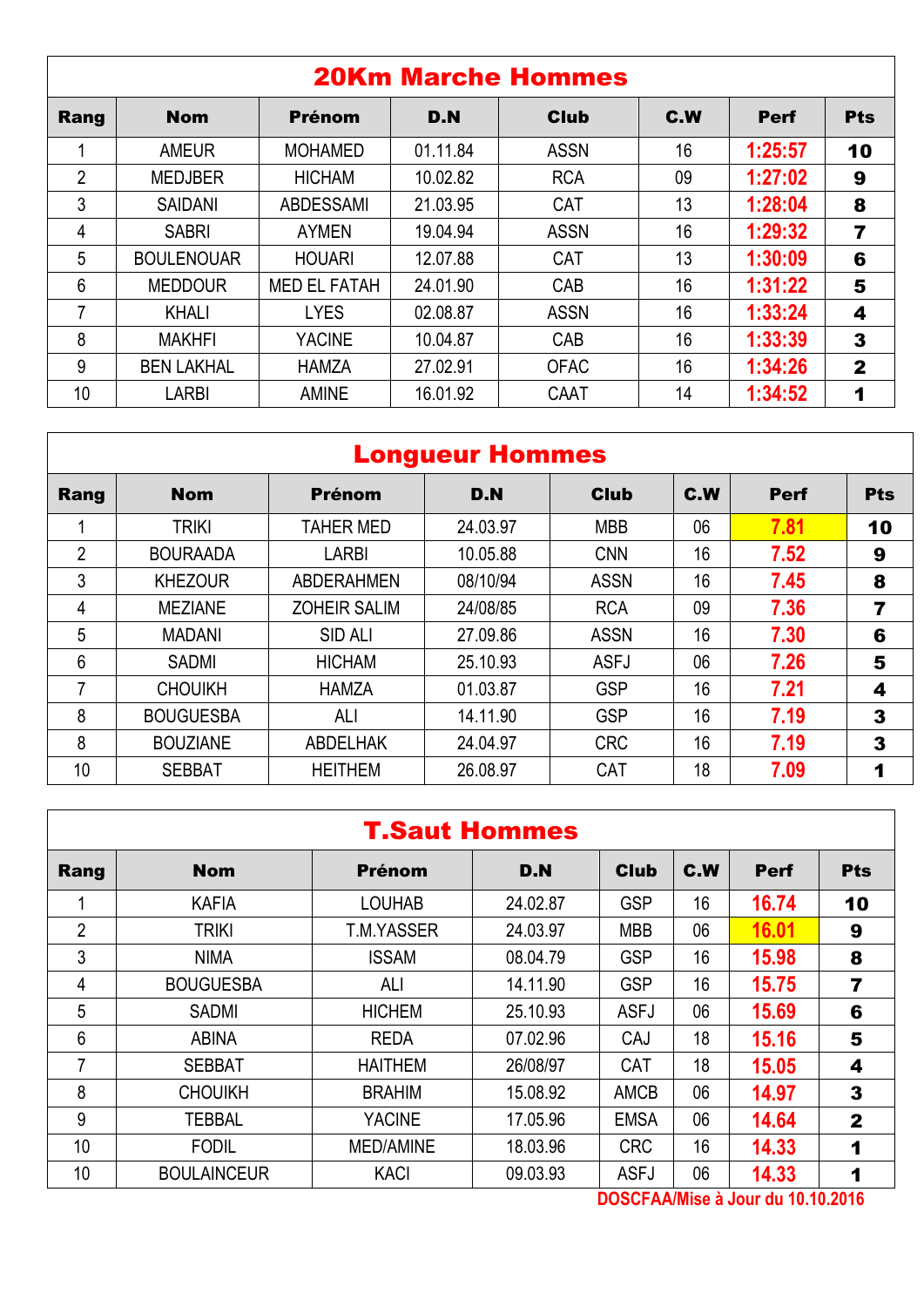|                | <b>20Km Marche Hommes</b> |                     |          |             |     |             |                         |  |  |  |  |  |
|----------------|---------------------------|---------------------|----------|-------------|-----|-------------|-------------------------|--|--|--|--|--|
| Rang           | <b>Nom</b>                | <b>Prénom</b>       | D.N      | <b>Club</b> | C.W | <b>Perf</b> | <b>Pts</b>              |  |  |  |  |  |
|                | <b>AMEUR</b>              | <b>MOHAMED</b>      | 01.11.84 | <b>ASSN</b> | 16  | 1:25:57     | 10                      |  |  |  |  |  |
| $\overline{2}$ | <b>MEDJBER</b>            | <b>HICHAM</b>       | 10.02.82 | <b>RCA</b>  | 09  | 1:27:02     | 9                       |  |  |  |  |  |
| 3              | <b>SAIDANI</b>            | <b>ABDESSAMI</b>    | 21.03.95 | <b>CAT</b>  | 13  | 1:28:04     | 8                       |  |  |  |  |  |
| 4              | <b>SABRI</b>              | <b>AYMEN</b>        | 19.04.94 | <b>ASSN</b> | 16  | 1:29:32     | $\overline{\mathbf{r}}$ |  |  |  |  |  |
| 5              | <b>BOULENOUAR</b>         | <b>HOUARI</b>       | 12.07.88 | <b>CAT</b>  | 13  | 1:30:09     | 6                       |  |  |  |  |  |
| 6              | <b>MEDDOUR</b>            | <b>MED EL FATAH</b> | 24.01.90 | CAB         | 16  | 1:31:22     | 5                       |  |  |  |  |  |
| 7              | <b>KHALI</b>              | <b>LYES</b>         | 02.08.87 | <b>ASSN</b> | 16  | 1:33:24     | 4                       |  |  |  |  |  |
| 8              | <b>MAKHFI</b>             | <b>YACINE</b>       | 10.04.87 | CAB         | 16  | 1:33:39     | 3                       |  |  |  |  |  |
| 9              | <b>BEN LAKHAL</b>         | <b>HAMZA</b>        | 27.02.91 | <b>OFAC</b> | 16  | 1:34:26     | $\mathbf{2}$            |  |  |  |  |  |
| 10             | LARBI                     | <b>AMINE</b>        | 16.01.92 | CAAT        | 14  | 1:34:52     | 1                       |  |  |  |  |  |

|      | <b>Longueur Hommes</b> |                     |          |             |     |             |            |  |  |  |  |
|------|------------------------|---------------------|----------|-------------|-----|-------------|------------|--|--|--|--|
| Rang | <b>Nom</b>             | <b>Prénom</b>       | D.N      | <b>Club</b> | C.W | <b>Perf</b> | <b>Pts</b> |  |  |  |  |
|      | <b>TRIKI</b>           | <b>TAHER MED</b>    | 24.03.97 | <b>MBB</b>  | 06  | 7.81        | 10         |  |  |  |  |
| 2    | <b>BOURAADA</b>        | LARBI               | 10.05.88 | <b>CNN</b>  | 16  | 7.52        | 9          |  |  |  |  |
| 3    | <b>KHEZOUR</b>         | <b>ABDERAHMEN</b>   | 08/10/94 | <b>ASSN</b> | 16  | 7.45        | 8          |  |  |  |  |
| 4    | <b>MEZIANE</b>         | <b>ZOHEIR SALIM</b> | 24/08/85 | <b>RCA</b>  | 09  | 7.36        | 7          |  |  |  |  |
| 5    | <b>MADANI</b>          | <b>SID ALI</b>      | 27.09.86 | <b>ASSN</b> | 16  | 7.30        | 6          |  |  |  |  |
| 6    | <b>SADMI</b>           | <b>HICHAM</b>       | 25.10.93 | <b>ASFJ</b> | 06  | 7.26        | 5          |  |  |  |  |
| 7    | <b>CHOUIKH</b>         | <b>HAMZA</b>        | 01.03.87 | <b>GSP</b>  | 16  | 7.21        | 4          |  |  |  |  |
| 8    | <b>BOUGUESBA</b>       | ALI                 | 14.11.90 | <b>GSP</b>  | 16  | 7.19        | 3          |  |  |  |  |
| 8    | <b>BOUZIANE</b>        | <b>ABDELHAK</b>     | 24.04.97 | <b>CRC</b>  | 16  | 7.19        | 3          |  |  |  |  |
| 10   | <b>SEBBAT</b>          | <b>HEITHEM</b>      | 26.08.97 | CAT         | 18  | 7.09        | 1          |  |  |  |  |

|                 | <b>T.Saut Hommes</b> |                  |          |             |     |             |              |  |  |  |  |
|-----------------|----------------------|------------------|----------|-------------|-----|-------------|--------------|--|--|--|--|
| Rang            | <b>Nom</b>           | <b>Prénom</b>    | D.N      | <b>Club</b> | C.W | <b>Perf</b> | <b>Pts</b>   |  |  |  |  |
|                 | <b>KAFIA</b>         | <b>LOUHAB</b>    | 24.02.87 | <b>GSP</b>  | 16  | 16.74       | 10           |  |  |  |  |
| 2               | <b>TRIKI</b>         | T.M.YASSER       | 24.03.97 | <b>MBB</b>  | 06  | 16.01       | 9            |  |  |  |  |
| 3               | <b>NIMA</b>          | <b>ISSAM</b>     | 08.04.79 | <b>GSP</b>  | 16  | 15.98       | 8            |  |  |  |  |
| 4               | <b>BOUGUESBA</b>     | ALI              | 14.11.90 | <b>GSP</b>  | 16  | 15.75       | 7            |  |  |  |  |
| 5               | <b>SADMI</b>         | <b>HICHEM</b>    | 25.10.93 | <b>ASFJ</b> | 06  | 15.69       | 6            |  |  |  |  |
| $6\phantom{1}6$ | <b>ABINA</b>         | <b>REDA</b>      | 07.02.96 | CAJ         | 18  | 15.16       | 5            |  |  |  |  |
| 7               | <b>SEBBAT</b>        | <b>HAITHEM</b>   | 26/08/97 | <b>CAT</b>  | 18  | 15.05       | 4            |  |  |  |  |
| 8               | <b>CHOUIKH</b>       | <b>BRAHIM</b>    | 15.08.92 | <b>AMCB</b> | 06  | 14.97       | 3            |  |  |  |  |
| 9               | <b>TEBBAL</b>        | <b>YACINE</b>    | 17.05.96 | <b>EMSA</b> | 06  | 14.64       | $\mathbf{2}$ |  |  |  |  |
| 10              | <b>FODIL</b>         | <b>MED/AMINE</b> | 18.03.96 | <b>CRC</b>  | 16  | 14.33       | 1            |  |  |  |  |
| 10              | <b>BOULAINCEUR</b>   | <b>KACI</b>      | 09.03.93 | <b>ASFJ</b> | 06  | 14.33       | 1            |  |  |  |  |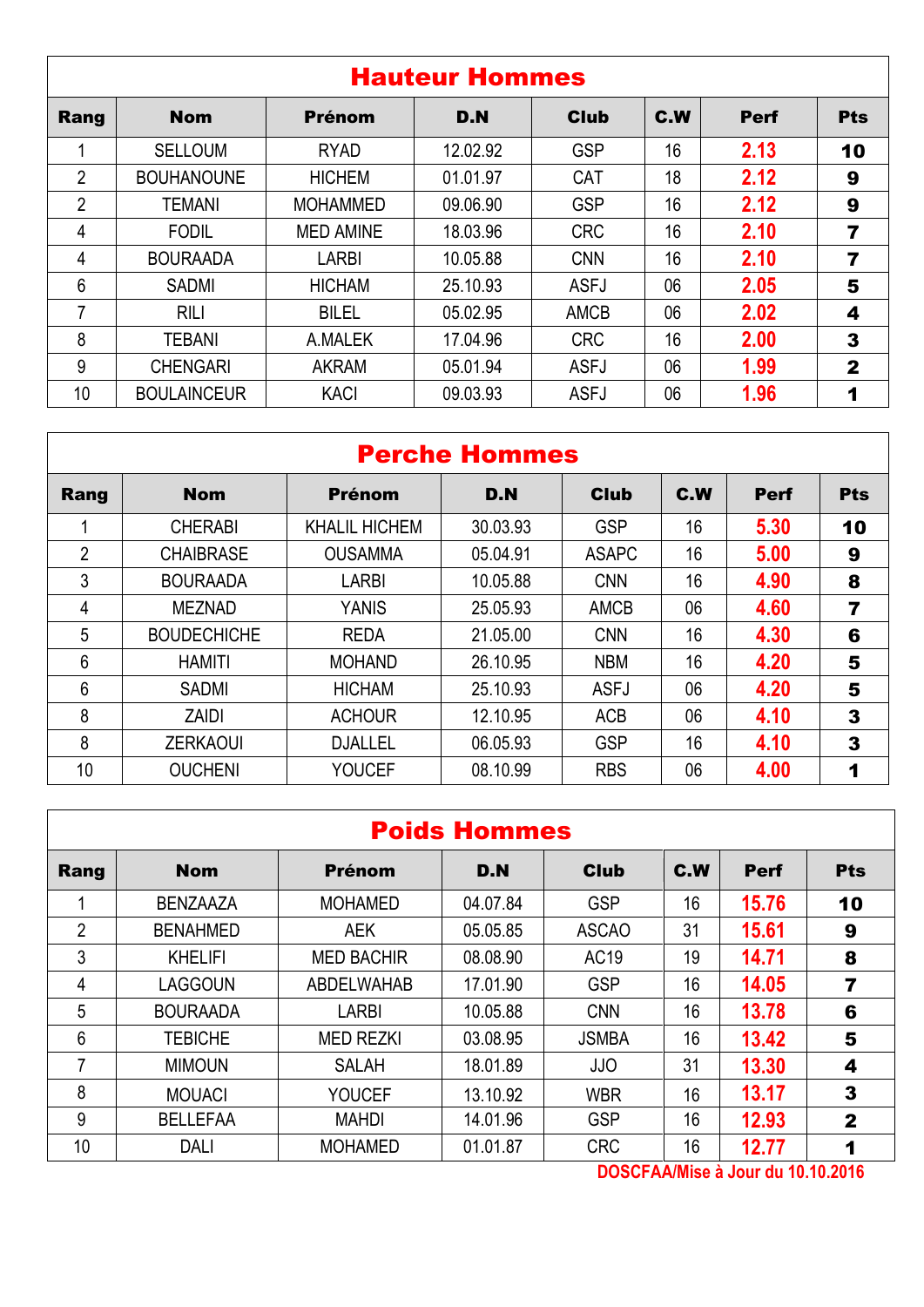|                 | <b>Hauteur Hommes</b> |                  |          |             |     |             |              |  |  |  |  |  |
|-----------------|-----------------------|------------------|----------|-------------|-----|-------------|--------------|--|--|--|--|--|
| Rang            | <b>Nom</b>            | <b>Prénom</b>    | D.N      | <b>Club</b> | C.W | <b>Perf</b> | <b>Pts</b>   |  |  |  |  |  |
|                 | <b>SELLOUM</b>        | <b>RYAD</b>      | 12.02.92 | <b>GSP</b>  | 16  | 2.13        | 10           |  |  |  |  |  |
| $\overline{2}$  | <b>BOUHANOUNE</b>     | <b>HICHEM</b>    | 01.01.97 | <b>CAT</b>  | 18  | 2.12        | 9            |  |  |  |  |  |
| $\overline{2}$  | <b>TEMANI</b>         | <b>MOHAMMED</b>  | 09.06.90 | <b>GSP</b>  | 16  | 2.12        | 9            |  |  |  |  |  |
| 4               | <b>FODIL</b>          | <b>MED AMINE</b> | 18.03.96 | <b>CRC</b>  | 16  | 2.10        | 7            |  |  |  |  |  |
| 4               | <b>BOURAADA</b>       | <b>LARBI</b>     | 10.05.88 | <b>CNN</b>  | 16  | 2.10        | 7            |  |  |  |  |  |
| 6               | <b>SADMI</b>          | <b>HICHAM</b>    | 25.10.93 | <b>ASFJ</b> | 06  | 2.05        | 5            |  |  |  |  |  |
| 7               | <b>RILI</b>           | <b>BILEL</b>     | 05.02.95 | <b>AMCB</b> | 06  | 2.02        | 4            |  |  |  |  |  |
| 8               | <b>TEBANI</b>         | A.MALEK          | 17.04.96 | <b>CRC</b>  | 16  | 2.00        | 3            |  |  |  |  |  |
| 9               | <b>CHENGARI</b>       | <b>AKRAM</b>     | 05.01.94 | <b>ASFJ</b> | 06  | 1.99        | $\mathbf{2}$ |  |  |  |  |  |
| 10 <sup>°</sup> | <b>BOULAINCEUR</b>    | <b>KACI</b>      | 09.03.93 | <b>ASFJ</b> | 06  | 1.96        | 1            |  |  |  |  |  |

## Perche Hommes

| Rang           | <b>Nom</b>         | <b>Prénom</b>        | D.N      | <b>Club</b>  | C.W | <b>Perf</b> | <b>Pts</b>       |
|----------------|--------------------|----------------------|----------|--------------|-----|-------------|------------------|
|                | <b>CHERABI</b>     | <b>KHALIL HICHEM</b> | 30.03.93 | <b>GSP</b>   | 16  | 5.30        | 10               |
| $\overline{2}$ | <b>CHAIBRASE</b>   | <b>OUSAMMA</b>       | 05.04.91 | <b>ASAPC</b> | 16  | 5.00        | $\boldsymbol{9}$ |
| 3              | <b>BOURAADA</b>    | <b>LARBI</b>         | 10.05.88 | <b>CNN</b>   | 16  | 4.90        | 8                |
| 4              | <b>MEZNAD</b>      | <b>YANIS</b>         | 25.05.93 | <b>AMCB</b>  | 06  | 4.60        | 7                |
| 5              | <b>BOUDECHICHE</b> | <b>REDA</b>          | 21.05.00 | <b>CNN</b>   | 16  | 4.30        | 6                |
| 6              | <b>HAMITI</b>      | <b>MOHAND</b>        | 26.10.95 | <b>NBM</b>   | 16  | 4.20        | 5                |
| 6              | <b>SADMI</b>       | <b>HICHAM</b>        | 25.10.93 | <b>ASFJ</b>  | 06  | 4.20        | 5                |
| 8              | <b>ZAIDI</b>       | <b>ACHOUR</b>        | 12.10.95 | <b>ACB</b>   | 06  | 4.10        | 3                |
| 8              | <b>ZERKAOUI</b>    | <b>DJALLEL</b>       | 06.05.93 | <b>GSP</b>   | 16  | 4.10        | 3                |
| 10             | <b>OUCHENI</b>     | <b>YOUCEF</b>        | 08.10.99 | <b>RBS</b>   | 06  | 4.00        | 1                |

## Poids Hommes

| Rang | <b>Nom</b>      | <b>Prénom</b>     | D.N      | <b>Club</b>  | C.W | <b>Perf</b> | <b>Pts</b>   |
|------|-----------------|-------------------|----------|--------------|-----|-------------|--------------|
|      | <b>BENZAAZA</b> | <b>MOHAMED</b>    | 04.07.84 | <b>GSP</b>   | 16  | 15.76       | 10           |
| 2    | <b>BENAHMED</b> | <b>AEK</b>        | 05.05.85 | <b>ASCAO</b> | 31  | 15.61       | 9            |
| 3    | <b>KHELIFI</b>  | <b>MED BACHIR</b> | 08.08.90 | <b>AC19</b>  | 19  | 14.71       | 8            |
| 4    | <b>LAGGOUN</b>  | <b>ABDELWAHAB</b> | 17.01.90 | <b>GSP</b>   | 16  | 14.05       | 7            |
| 5    | <b>BOURAADA</b> | LARBI             | 10.05.88 | <b>CNN</b>   | 16  | 13.78       | 6            |
| 6    | <b>TEBICHE</b>  | <b>MED REZKI</b>  | 03.08.95 | <b>JSMBA</b> | 16  | 13.42       | 5            |
| 7    | <b>MIMOUN</b>   | <b>SALAH</b>      | 18.01.89 | <b>JJO</b>   | 31  | 13.30       | 4            |
| 8    | <b>MOUACI</b>   | <b>YOUCEF</b>     | 13.10.92 | <b>WBR</b>   | 16  | 13.17       | 3            |
| 9    | <b>BELLEFAA</b> | <b>MAHDI</b>      | 14.01.96 | <b>GSP</b>   | 16  | 12.93       | $\mathbf{2}$ |
| 10   | <b>DALI</b>     | <b>MOHAMED</b>    | 01.01.87 | <b>CRC</b>   | 16  | 12.77       | 1            |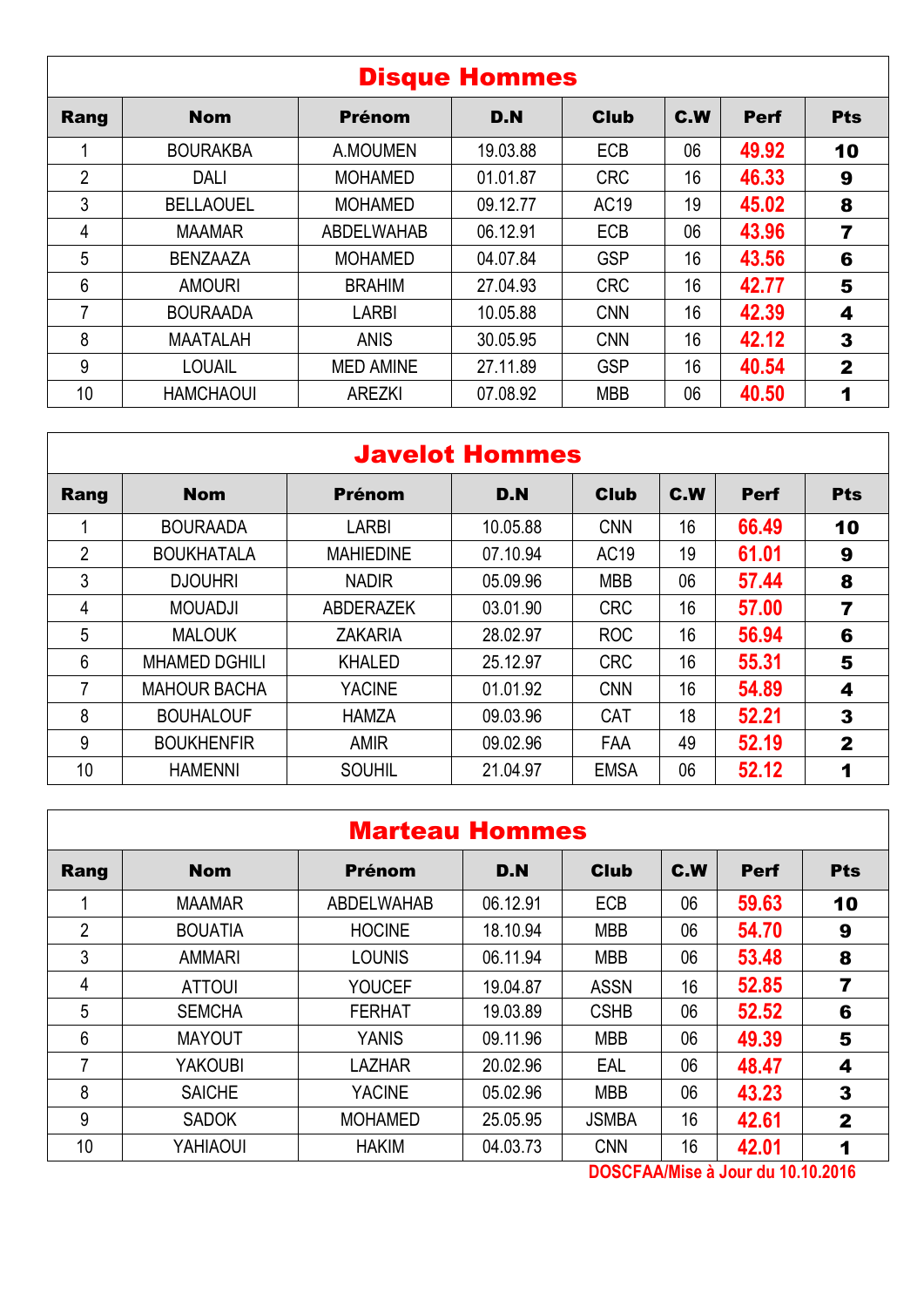|      | <b>Disque Hommes</b> |                   |          |             |     |             |              |  |  |  |  |
|------|----------------------|-------------------|----------|-------------|-----|-------------|--------------|--|--|--|--|
| Rang | <b>Nom</b>           | <b>Prénom</b>     | D.N      | <b>Club</b> | C.W | <b>Perf</b> | <b>Pts</b>   |  |  |  |  |
|      | <b>BOURAKBA</b>      | A.MOUMEN          | 19.03.88 | ECB         | 06  | 49.92       | 10           |  |  |  |  |
| 2    | <b>DALI</b>          | <b>MOHAMED</b>    | 01.01.87 | <b>CRC</b>  | 16  | 46.33       | 9            |  |  |  |  |
| 3    | <b>BELLAOUEL</b>     | <b>MOHAMED</b>    | 09.12.77 | AC19        | 19  | 45.02       | 8            |  |  |  |  |
| 4    | <b>MAAMAR</b>        | <b>ABDELWAHAB</b> | 06.12.91 | <b>ECB</b>  | 06  | 43.96       | 7            |  |  |  |  |
| 5    | <b>BENZAAZA</b>      | <b>MOHAMED</b>    | 04.07.84 | <b>GSP</b>  | 16  | 43.56       | 6            |  |  |  |  |
| 6    | <b>AMOURI</b>        | <b>BRAHIM</b>     | 27.04.93 | <b>CRC</b>  | 16  | 42.77       | 5            |  |  |  |  |
| 7    | <b>BOURAADA</b>      | <b>LARBI</b>      | 10.05.88 | <b>CNN</b>  | 16  | 42.39       | 4            |  |  |  |  |
| 8    | <b>MAATALAH</b>      | <b>ANIS</b>       | 30.05.95 | <b>CNN</b>  | 16  | 42.12       | 3            |  |  |  |  |
| 9    | <b>LOUAIL</b>        | <b>MED AMINE</b>  | 27.11.89 | <b>GSP</b>  | 16  | 40.54       | $\mathbf{2}$ |  |  |  |  |
| 10   | <b>HAMCHAOUI</b>     | <b>AREZKI</b>     | 07.08.92 | <b>MBB</b>  | 06  | 40.50       | 1            |  |  |  |  |

|                | <b>Javelot Hommes</b> |                  |          |             |     |             |              |  |  |  |  |
|----------------|-----------------------|------------------|----------|-------------|-----|-------------|--------------|--|--|--|--|
| Rang           | <b>Nom</b>            | <b>Prénom</b>    | D.N      | <b>Club</b> | C.W | <b>Perf</b> | <b>Pts</b>   |  |  |  |  |
|                | <b>BOURAADA</b>       | <b>LARBI</b>     | 10.05.88 | <b>CNN</b>  | 16  | 66.49       | 10           |  |  |  |  |
| $\overline{2}$ | <b>BOUKHATALA</b>     | <b>MAHIEDINE</b> | 07.10.94 | AC19        | 19  | 61.01       | 9            |  |  |  |  |
| 3              | <b>DJOUHRI</b>        | <b>NADIR</b>     | 05.09.96 | <b>MBB</b>  | 06  | 57.44       | 8            |  |  |  |  |
| 4              | <b>MOUADJI</b>        | <b>ABDERAZEK</b> | 03.01.90 | <b>CRC</b>  | 16  | 57.00       | 7            |  |  |  |  |
| 5              | <b>MALOUK</b>         | <b>ZAKARIA</b>   | 28.02.97 | <b>ROC</b>  | 16  | 56.94       | 6            |  |  |  |  |
| 6              | <b>MHAMED DGHILI</b>  | <b>KHALED</b>    | 25.12.97 | <b>CRC</b>  | 16  | 55.31       | 5            |  |  |  |  |
| 7              | <b>MAHOUR BACHA</b>   | <b>YACINE</b>    | 01.01.92 | <b>CNN</b>  | 16  | 54.89       | 4            |  |  |  |  |
| 8              | <b>BOUHALOUF</b>      | <b>HAMZA</b>     | 09.03.96 | <b>CAT</b>  | 18  | 52.21       | 3            |  |  |  |  |
| 9              | <b>BOUKHENFIR</b>     | <b>AMIR</b>      | 09.02.96 | FAA         | 49  | 52.19       | $\mathbf{2}$ |  |  |  |  |
| 10             | <b>HAMENNI</b>        | <b>SOUHIL</b>    | 21.04.97 | <b>EMSA</b> | 06  | 52.12       |              |  |  |  |  |

|                | <b>Marteau Hommes</b> |                   |          |              |     |             |                |  |  |  |  |
|----------------|-----------------------|-------------------|----------|--------------|-----|-------------|----------------|--|--|--|--|
| Rang           | <b>Nom</b>            | <b>Prénom</b>     | D.N      | <b>Club</b>  | C.W | <b>Perf</b> | <b>Pts</b>     |  |  |  |  |
|                | <b>MAAMAR</b>         | <b>ABDELWAHAB</b> | 06.12.91 | <b>ECB</b>   | 06  | 59.63       | 10             |  |  |  |  |
| $\overline{2}$ | <b>BOUATIA</b>        | <b>HOCINE</b>     | 18.10.94 | <b>MBB</b>   | 06  | 54.70       | 9              |  |  |  |  |
| 3              | <b>AMMARI</b>         | <b>LOUNIS</b>     | 06.11.94 | <b>MBB</b>   | 06  | 53.48       | 8              |  |  |  |  |
| 4              | <b>ATTOUI</b>         | <b>YOUCEF</b>     | 19.04.87 | <b>ASSN</b>  | 16  | 52.85       | $\overline{7}$ |  |  |  |  |
| 5              | <b>SEMCHA</b>         | <b>FERHAT</b>     | 19.03.89 | <b>CSHB</b>  | 06  | 52.52       | 6              |  |  |  |  |
| 6              | <b>MAYOUT</b>         | <b>YANIS</b>      | 09.11.96 | <b>MBB</b>   | 06  | 49.39       | 5              |  |  |  |  |
| 7              | <b>YAKOUBI</b>        | <b>LAZHAR</b>     | 20.02.96 | EAL          | 06  | 48.47       | 4              |  |  |  |  |
| 8              | <b>SAICHE</b>         | <b>YACINE</b>     | 05.02.96 | <b>MBB</b>   | 06  | 43.23       | 3              |  |  |  |  |
| 9              | <b>SADOK</b>          | <b>MOHAMED</b>    | 25.05.95 | <b>JSMBA</b> | 16  | 42.61       | $\mathbf{2}$   |  |  |  |  |
| 10             | YAHIAOUI              | <b>HAKIM</b>      | 04.03.73 | <b>CNN</b>   | 16  | 42.01       | 1              |  |  |  |  |